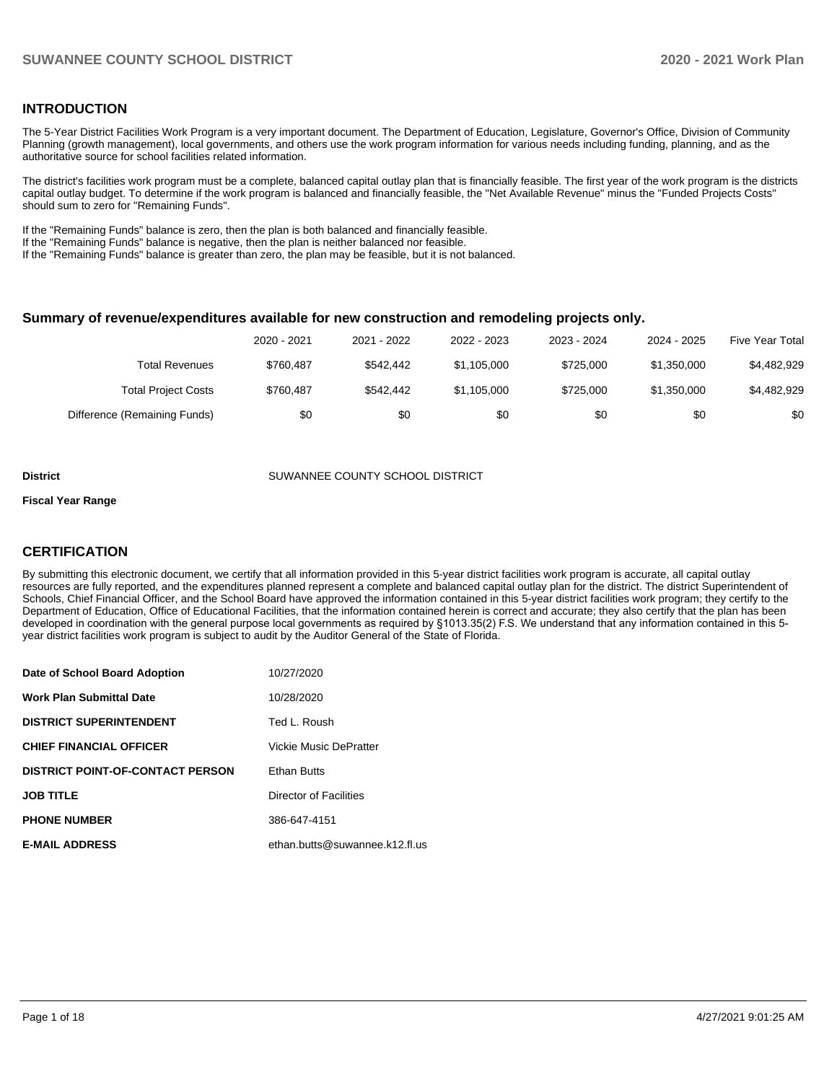#### **INTRODUCTION**

The 5-Year District Facilities Work Program is a very important document. The Department of Education, Legislature, Governor's Office, Division of Community Planning (growth management), local governments, and others use the work program information for various needs including funding, planning, and as the authoritative source for school facilities related information.

The district's facilities work program must be a complete, balanced capital outlay plan that is financially feasible. The first year of the work program is the districts capital outlay budget. To determine if the work program is balanced and financially feasible, the "Net Available Revenue" minus the "Funded Projects Costs" should sum to zero for "Remaining Funds".

If the "Remaining Funds" balance is zero, then the plan is both balanced and financially feasible.

If the "Remaining Funds" balance is negative, then the plan is neither balanced nor feasible.

If the "Remaining Funds" balance is greater than zero, the plan may be feasible, but it is not balanced.

#### **Summary of revenue/expenditures available for new construction and remodeling projects only.**

|                              | 2020 - 2021 | 2021 - 2022 | 2022 - 2023 | 2023 - 2024 | 2024 - 2025 | <b>Five Year Total</b> |
|------------------------------|-------------|-------------|-------------|-------------|-------------|------------------------|
| Total Revenues               | \$760.487   | \$542.442   | \$1,105,000 | \$725,000   | \$1,350,000 | \$4,482,929            |
| <b>Total Project Costs</b>   | \$760.487   | \$542.442   | \$1,105,000 | \$725,000   | \$1,350,000 | \$4,482,929            |
| Difference (Remaining Funds) | \$0         | \$0         | \$0         | \$0         | \$0         | \$0                    |

#### **District COUNTY SUMANNEE COUNTY SCHOOL DISTRICT**

#### **Fiscal Year Range**

#### **CERTIFICATION**

By submitting this electronic document, we certify that all information provided in this 5-year district facilities work program is accurate, all capital outlay resources are fully reported, and the expenditures planned represent a complete and balanced capital outlay plan for the district. The district Superintendent of Schools, Chief Financial Officer, and the School Board have approved the information contained in this 5-year district facilities work program; they certify to the Department of Education, Office of Educational Facilities, that the information contained herein is correct and accurate; they also certify that the plan has been developed in coordination with the general purpose local governments as required by §1013.35(2) F.S. We understand that any information contained in this 5 year district facilities work program is subject to audit by the Auditor General of the State of Florida.

| Date of School Board Adoption           | 10/27/2020                     |
|-----------------------------------------|--------------------------------|
| <b>Work Plan Submittal Date</b>         | 10/28/2020                     |
| <b>DISTRICT SUPERINTENDENT</b>          | Ted L. Roush                   |
| <b>CHIEF FINANCIAL OFFICER</b>          | Vickie Music DePratter         |
| <b>DISTRICT POINT-OF-CONTACT PERSON</b> | <b>Ethan Butts</b>             |
| <b>JOB TITLE</b>                        | Director of Facilities         |
| <b>PHONE NUMBER</b>                     | 386-647-4151                   |
| <b>E-MAIL ADDRESS</b>                   | ethan.butts@suwannee.k12.fl.us |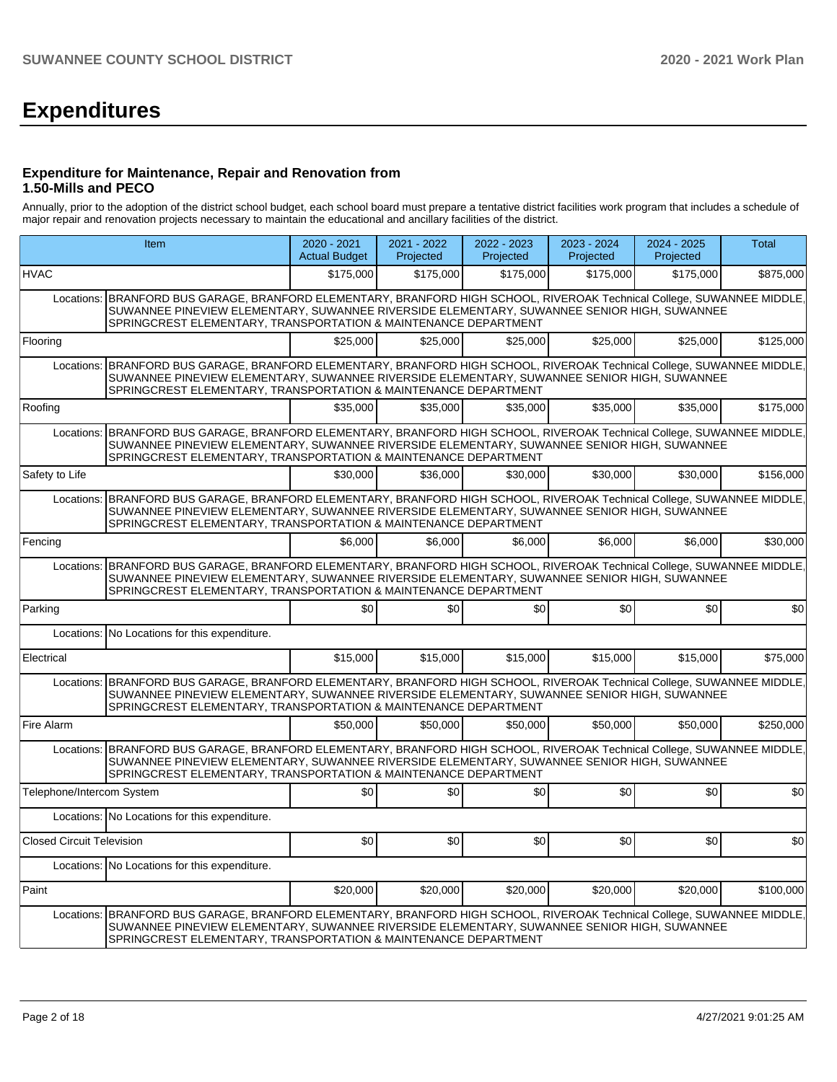# **Expenditures**

#### **Expenditure for Maintenance, Repair and Renovation from 1.50-Mills and PECO**

Annually, prior to the adoption of the district school budget, each school board must prepare a tentative district facilities work program that includes a schedule of major repair and renovation projects necessary to maintain the educational and ancillary facilities of the district.

|                           | Item                                                                                                                                                                                                                                                                                      | 2020 - 2021<br><b>Actual Budget</b> | 2021 - 2022<br>Projected | 2022 - 2023<br>Projected | 2023 - 2024<br>Projected | 2024 - 2025<br>Projected | Total     |
|---------------------------|-------------------------------------------------------------------------------------------------------------------------------------------------------------------------------------------------------------------------------------------------------------------------------------------|-------------------------------------|--------------------------|--------------------------|--------------------------|--------------------------|-----------|
| HVAC                      |                                                                                                                                                                                                                                                                                           | \$175,000                           | \$175,000                | \$175,000                | \$175,000                | \$175,000                | \$875,000 |
|                           | Locations: BRANFORD BUS GARAGE, BRANFORD ELEMENTARY, BRANFORD HIGH SCHOOL, RIVEROAK Technical College, SUWANNEE MIDDLE,<br>SUWANNEE PINEVIEW ELEMENTARY, SUWANNEE RIVERSIDE ELEMENTARY, SUWANNEE SENIOR HIGH, SUWANNEE<br>SPRINGCREST ELEMENTARY, TRANSPORTATION & MAINTENANCE DEPARTMENT |                                     |                          |                          |                          |                          |           |
| Flooring                  |                                                                                                                                                                                                                                                                                           | \$25,000                            | \$25,000                 | \$25,000                 | \$25,000                 | \$25,000                 | \$125,000 |
|                           | Locations: BRANFORD BUS GARAGE, BRANFORD ELEMENTARY, BRANFORD HIGH SCHOOL, RIVEROAK Technical College, SUWANNEE MIDDLE,<br>SUWANNEE PINEVIEW ELEMENTARY, SUWANNEE RIVERSIDE ELEMENTARY, SUWANNEE SENIOR HIGH, SUWANNEE<br>SPRINGCREST ELEMENTARY, TRANSPORTATION & MAINTENANCE DEPARTMENT |                                     |                          |                          |                          |                          |           |
| Roofing                   |                                                                                                                                                                                                                                                                                           | \$35,000                            | \$35,000                 | \$35,000                 | \$35,000                 | \$35,000                 | \$175,000 |
|                           | Locations: BRANFORD BUS GARAGE, BRANFORD ELEMENTARY, BRANFORD HIGH SCHOOL, RIVEROAK Technical College, SUWANNEE MIDDLE,<br>SUWANNEE PINEVIEW ELEMENTARY, SUWANNEE RIVERSIDE ELEMENTARY, SUWANNEE SENIOR HIGH, SUWANNEE<br>SPRINGCREST ELEMENTARY, TRANSPORTATION & MAINTENANCE DEPARTMENT |                                     |                          |                          |                          |                          |           |
| Safety to Life            |                                                                                                                                                                                                                                                                                           | \$30,000                            | \$36,000                 | \$30,000                 | \$30,000                 | \$30,000                 | \$156,000 |
| Locations:                | BRANFORD BUS GARAGE, BRANFORD ELEMENTARY, BRANFORD HIGH SCHOOL, RIVEROAK Technical College, SUWANNEE MIDDLE,<br>SUWANNEE PINEVIEW ELEMENTARY, SUWANNEE RIVERSIDE ELEMENTARY, SUWANNEE SENIOR HIGH, SUWANNEE<br>SPRINGCREST ELEMENTARY, TRANSPORTATION & MAINTENANCE DEPARTMENT            |                                     |                          |                          |                          |                          |           |
| Fencing                   |                                                                                                                                                                                                                                                                                           | \$6,000                             | \$6,000                  | \$6,000                  | \$6,000                  | \$6,000                  | \$30,000  |
| Locations:                | BRANFORD BUS GARAGE, BRANFORD ELEMENTARY, BRANFORD HIGH SCHOOL, RIVEROAK Technical College, SUWANNEE MIDDLE,<br>SUWANNEE PINEVIEW ELEMENTARY, SUWANNEE RIVERSIDE ELEMENTARY, SUWANNEE SENIOR HIGH, SUWANNEE<br>SPRINGCREST ELEMENTARY, TRANSPORTATION & MAINTENANCE DEPARTMENT            |                                     |                          |                          |                          |                          |           |
| Parking                   |                                                                                                                                                                                                                                                                                           | \$0                                 | \$0                      | \$0                      | \$0                      | \$0                      | \$0       |
|                           | Locations: No Locations for this expenditure.                                                                                                                                                                                                                                             |                                     |                          |                          |                          |                          |           |
| Electrical                |                                                                                                                                                                                                                                                                                           | \$15,000                            | \$15,000                 | \$15,000                 | \$15,000                 | \$15,000                 | \$75,000  |
| Locations:                | BRANFORD BUS GARAGE, BRANFORD ELEMENTARY, BRANFORD HIGH SCHOOL, RIVEROAK Technical College, SUWANNEE MIDDLE,<br>SUWANNEE PINEVIEW ELEMENTARY, SUWANNEE RIVERSIDE ELEMENTARY, SUWANNEE SENIOR HIGH, SUWANNEE<br>SPRINGCREST ELEMENTARY, TRANSPORTATION & MAINTENANCE DEPARTMENT            |                                     |                          |                          |                          |                          |           |
| Fire Alarm                |                                                                                                                                                                                                                                                                                           | \$50,000                            | \$50,000                 | \$50,000                 | \$50,000                 | \$50,000                 | \$250,000 |
|                           | Locations: BRANFORD BUS GARAGE, BRANFORD ELEMENTARY, BRANFORD HIGH SCHOOL, RIVEROAK Technical College, SUWANNEE MIDDLE,<br>SUWANNEE PINEVIEW ELEMENTARY, SUWANNEE RIVERSIDE ELEMENTARY, SUWANNEE SENIOR HIGH, SUWANNEE<br>SPRINGCREST ELEMENTARY, TRANSPORTATION & MAINTENANCE DEPARTMENT |                                     |                          |                          |                          |                          |           |
| Telephone/Intercom System |                                                                                                                                                                                                                                                                                           | \$0                                 | \$0                      | \$0                      | \$0                      | \$0                      | \$0       |
|                           | Locations: No Locations for this expenditure.                                                                                                                                                                                                                                             |                                     |                          |                          |                          |                          |           |
| Closed Circuit Television |                                                                                                                                                                                                                                                                                           | \$0                                 | \$0                      | \$0 <sub>1</sub>         | \$0                      | \$0                      | \$0       |
|                           | Locations: No Locations for this expenditure.                                                                                                                                                                                                                                             |                                     |                          |                          |                          |                          |           |
| Paint                     |                                                                                                                                                                                                                                                                                           | \$20,000                            | \$20,000                 | \$20,000                 | \$20,000                 | \$20,000                 | \$100,000 |
|                           | Locations: BRANFORD BUS GARAGE, BRANFORD ELEMENTARY, BRANFORD HIGH SCHOOL, RIVEROAK Technical College, SUWANNEE MIDDLE,<br>SUWANNEE PINEVIEW ELEMENTARY, SUWANNEE RIVERSIDE ELEMENTARY, SUWANNEE SENIOR HIGH, SUWANNEE<br>SPRINGCREST ELEMENTARY, TRANSPORTATION & MAINTENANCE DEPARTMENT |                                     |                          |                          |                          |                          |           |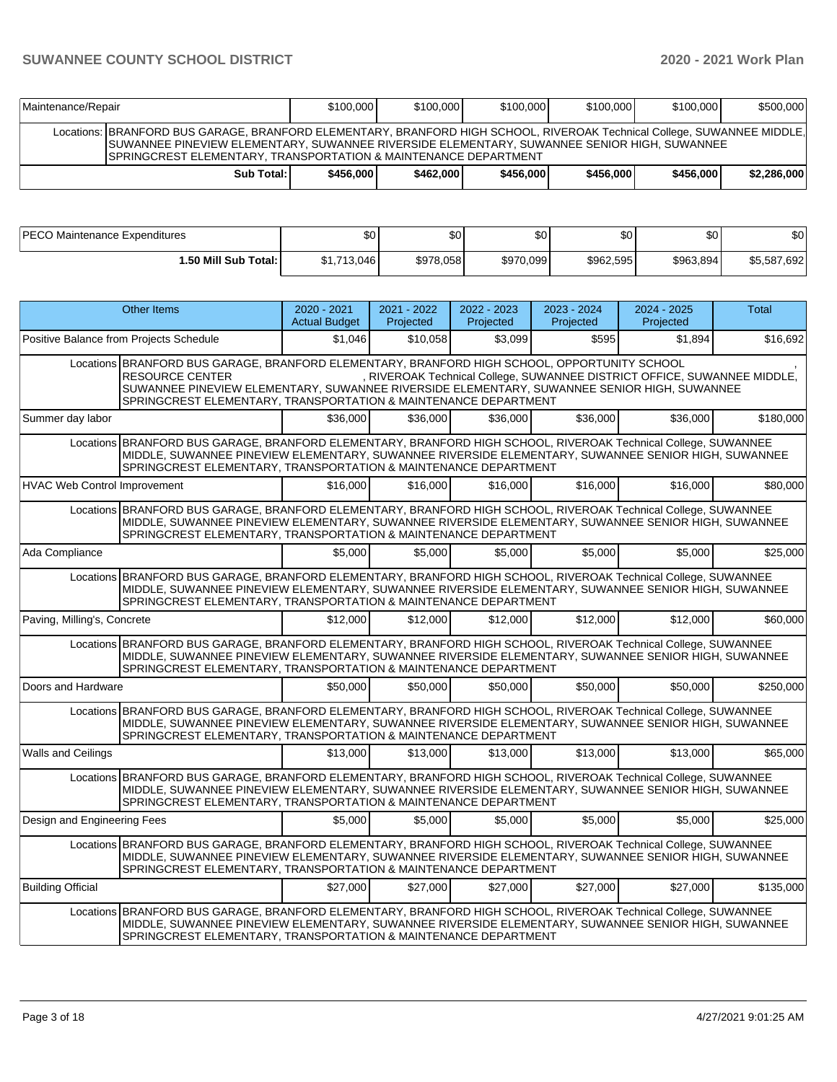| Maintenance/Repair                                                                                                                                                                                                                                                                          |              | \$100,000 | \$100,000 | \$100,000 | \$100,000 | \$100,000 | \$500,000   |
|---------------------------------------------------------------------------------------------------------------------------------------------------------------------------------------------------------------------------------------------------------------------------------------------|--------------|-----------|-----------|-----------|-----------|-----------|-------------|
| Locations: BRANFORD BUS GARAGE, BRANFORD ELEMENTARY, BRANFORD HIGH SCHOOL, RIVEROAK Technical College, SUWANNEE MIDDLE,<br>ISUWANNEE PINEVIEW ELEMENTARY, SUWANNEE RIVERSIDE ELEMENTARY, SUWANNEE SENIOR HIGH, SUWANNEE<br>ISPRINGCREST ELEMENTARY. TRANSPORTATION & MAINTENANCE DEPARTMENT |              |           |           |           |           |           |             |
|                                                                                                                                                                                                                                                                                             | Sub Total: I | \$456,000 | \$462,000 | \$456,000 | \$456,000 | \$456,000 | \$2,286,000 |

| IPECO.                   | ሰጣ          | $\sim$    | $\sim$    | ሰሰ        | ¢∩        | \$0                         |
|--------------------------|-------------|-----------|-----------|-----------|-----------|-----------------------------|
| Maintenance Expenditures | JU.         | υυ        | ມບ        | Ψ         | υU        |                             |
| l.50 Mill Sub Total: l   | \$1,713,046 | \$978,058 | \$970,099 | \$962,595 | \$963,894 | $^{\prime}$ .692<br>\$5,587 |

|                              | <b>Other Items</b>                                                                                                                                                                                                                                                                       | $2020 - 2021$<br><b>Actual Budget</b> | 2021 - 2022<br>Projected | 2022 - 2023<br>Projected | 2023 - 2024<br>Projected | 2024 - 2025<br>Projected                                                 | <b>Total</b> |
|------------------------------|------------------------------------------------------------------------------------------------------------------------------------------------------------------------------------------------------------------------------------------------------------------------------------------|---------------------------------------|--------------------------|--------------------------|--------------------------|--------------------------------------------------------------------------|--------------|
|                              | Positive Balance from Projects Schedule                                                                                                                                                                                                                                                  | \$1.046                               | \$10.058                 | \$3,099                  | \$595                    | \$1,894                                                                  | \$16,692     |
|                              | Locations BRANFORD BUS GARAGE, BRANFORD ELEMENTARY, BRANFORD HIGH SCHOOL, OPPORTUNITY SCHOOL<br><b>RESOURCE CENTER</b><br>SUWANNEE PINEVIEW ELEMENTARY, SUWANNEE RIVERSIDE ELEMENTARY, SUWANNEE SENIOR HIGH, SUWANNEE<br>SPRINGCREST ELEMENTARY, TRANSPORTATION & MAINTENANCE DEPARTMENT |                                       |                          |                          |                          | , RIVEROAK Technical College, SUWANNEE DISTRICT OFFICE, SUWANNEE MIDDLE, |              |
| Summer day labor             |                                                                                                                                                                                                                                                                                          | \$36,000                              | \$36,000                 | \$36,000                 | \$36,000                 | \$36,000                                                                 | \$180,000    |
|                              | Locations BRANFORD BUS GARAGE, BRANFORD ELEMENTARY, BRANFORD HIGH SCHOOL, RIVEROAK Technical College, SUWANNEE<br>MIDDLE, SUWANNEE PINEVIEW ELEMENTARY, SUWANNEE RIVERSIDE ELEMENTARY, SUWANNEE SENIOR HIGH, SUWANNEE<br>SPRINGCREST ELEMENTARY, TRANSPORTATION & MAINTENANCE DEPARTMENT |                                       |                          |                          |                          |                                                                          |              |
| HVAC Web Control Improvement |                                                                                                                                                                                                                                                                                          | \$16,000                              | \$16,000                 | \$16,000                 | \$16,000                 | \$16,000                                                                 | \$80,000     |
|                              | Locations BRANFORD BUS GARAGE, BRANFORD ELEMENTARY, BRANFORD HIGH SCHOOL, RIVEROAK Technical College, SUWANNEE<br>MIDDLE, SUWANNEE PINEVIEW ELEMENTARY, SUWANNEE RIVERSIDE ELEMENTARY, SUWANNEE SENIOR HIGH, SUWANNEE<br>SPRINGCREST ELEMENTARY, TRANSPORTATION & MAINTENANCE DEPARTMENT |                                       |                          |                          |                          |                                                                          |              |
| Ada Compliance               |                                                                                                                                                                                                                                                                                          | \$5.000                               | \$5,000                  | \$5,000                  | \$5.000                  | \$5,000                                                                  | \$25,000     |
|                              | Locations BRANFORD BUS GARAGE, BRANFORD ELEMENTARY, BRANFORD HIGH SCHOOL, RIVEROAK Technical College, SUWANNEE<br>MIDDLE, SUWANNEE PINEVIEW ELEMENTARY, SUWANNEE RIVERSIDE ELEMENTARY, SUWANNEE SENIOR HIGH, SUWANNEE<br>SPRINGCREST ELEMENTARY, TRANSPORTATION & MAINTENANCE DEPARTMENT |                                       |                          |                          |                          |                                                                          |              |
| Paving, Milling's, Concrete  |                                                                                                                                                                                                                                                                                          | \$12,000                              | \$12,000                 | \$12,000                 | \$12,000                 | \$12,000                                                                 | \$60,000     |
|                              | Locations BRANFORD BUS GARAGE, BRANFORD ELEMENTARY, BRANFORD HIGH SCHOOL, RIVEROAK Technical College, SUWANNEE<br>MIDDLE, SUWANNEE PINEVIEW ELEMENTARY, SUWANNEE RIVERSIDE ELEMENTARY, SUWANNEE SENIOR HIGH, SUWANNEE<br>SPRINGCREST ELEMENTARY, TRANSPORTATION & MAINTENANCE DEPARTMENT |                                       |                          |                          |                          |                                                                          |              |
| Doors and Hardware           |                                                                                                                                                                                                                                                                                          | \$50,000                              | \$50,000                 | \$50,000                 | \$50,000                 | \$50,000                                                                 | \$250,000    |
|                              | Locations BRANFORD BUS GARAGE, BRANFORD ELEMENTARY, BRANFORD HIGH SCHOOL, RIVEROAK Technical College, SUWANNEE<br>MIDDLE, SUWANNEE PINEVIEW ELEMENTARY, SUWANNEE RIVERSIDE ELEMENTARY, SUWANNEE SENIOR HIGH, SUWANNEE<br>SPRINGCREST ELEMENTARY, TRANSPORTATION & MAINTENANCE DEPARTMENT |                                       |                          |                          |                          |                                                                          |              |
| <b>Walls and Ceilings</b>    |                                                                                                                                                                                                                                                                                          | \$13,000                              | \$13,000                 | \$13,000                 | \$13,000                 | \$13,000                                                                 | \$65,000     |
|                              | Locations BRANFORD BUS GARAGE, BRANFORD ELEMENTARY, BRANFORD HIGH SCHOOL, RIVEROAK Technical College, SUWANNEE<br>MIDDLE, SUWANNEE PINEVIEW ELEMENTARY, SUWANNEE RIVERSIDE ELEMENTARY, SUWANNEE SENIOR HIGH, SUWANNEE<br>SPRINGCREST ELEMENTARY, TRANSPORTATION & MAINTENANCE DEPARTMENT |                                       |                          |                          |                          |                                                                          |              |
| Design and Engineering Fees  |                                                                                                                                                                                                                                                                                          | \$5,000                               | \$5,000                  | \$5,000                  | \$5.000                  | \$5.000                                                                  | \$25,000     |
|                              | Locations BRANFORD BUS GARAGE, BRANFORD ELEMENTARY, BRANFORD HIGH SCHOOL, RIVEROAK Technical College, SUWANNEE<br>MIDDLE, SUWANNEE PINEVIEW ELEMENTARY, SUWANNEE RIVERSIDE ELEMENTARY, SUWANNEE SENIOR HIGH, SUWANNEE<br>SPRINGCREST ELEMENTARY, TRANSPORTATION & MAINTENANCE DEPARTMENT |                                       |                          |                          |                          |                                                                          |              |
| <b>Building Official</b>     |                                                                                                                                                                                                                                                                                          | \$27,000                              | \$27,000                 | \$27,000                 | \$27.000                 | \$27,000                                                                 | \$135.000    |
|                              | Locations BRANFORD BUS GARAGE, BRANFORD ELEMENTARY, BRANFORD HIGH SCHOOL, RIVEROAK Technical College, SUWANNEE<br>MIDDLE, SUWANNEE PINEVIEW ELEMENTARY, SUWANNEE RIVERSIDE ELEMENTARY, SUWANNEE SENIOR HIGH, SUWANNEE<br>SPRINGCREST ELEMENTARY, TRANSPORTATION & MAINTENANCE DEPARTMENT |                                       |                          |                          |                          |                                                                          |              |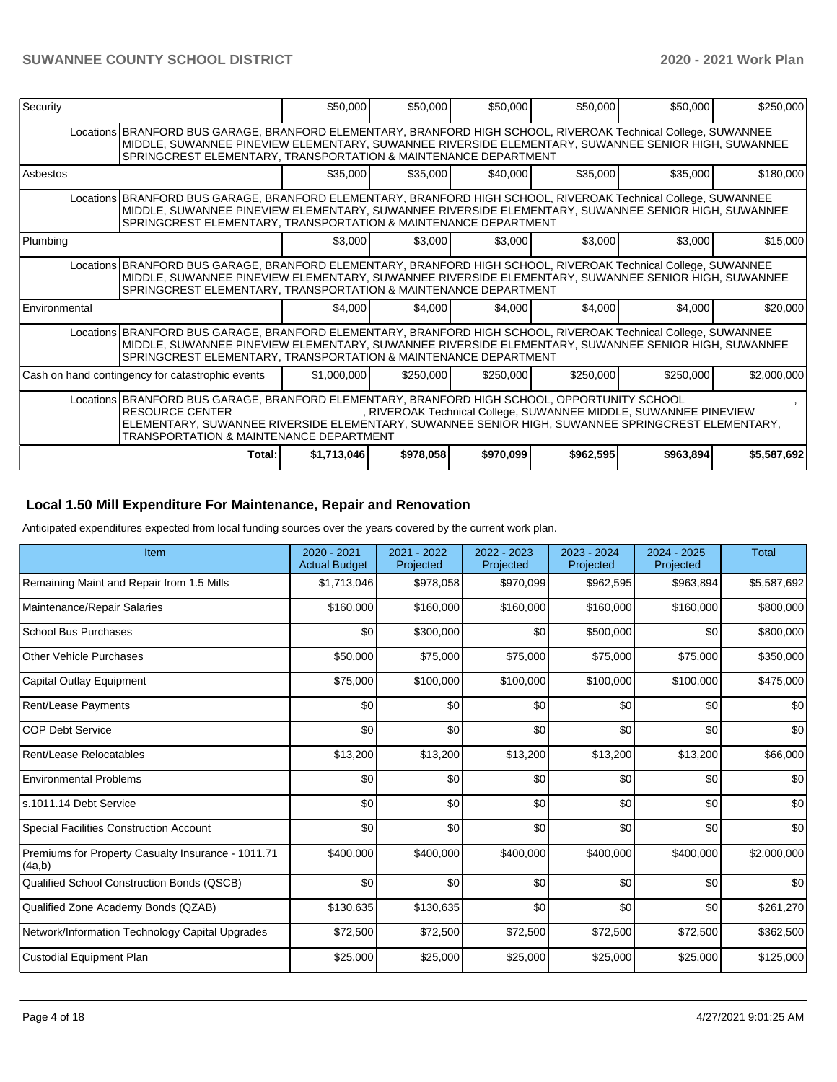| Security      |                                                                                                                                                                                                                                                                                          | \$50,000    | \$50,000  | \$50,000  | \$50,000  | \$50,000                                                         | \$250,000   |
|---------------|------------------------------------------------------------------------------------------------------------------------------------------------------------------------------------------------------------------------------------------------------------------------------------------|-------------|-----------|-----------|-----------|------------------------------------------------------------------|-------------|
|               | Locations BRANFORD BUS GARAGE, BRANFORD ELEMENTARY, BRANFORD HIGH SCHOOL, RIVEROAK Technical College, SUWANNEE<br>MIDDLE, SUWANNEE PINEVIEW ELEMENTARY, SUWANNEE RIVERSIDE ELEMENTARY, SUWANNEE SENIOR HIGH, SUWANNEE<br>SPRINGCREST ELEMENTARY, TRANSPORTATION & MAINTENANCE DEPARTMENT |             |           |           |           |                                                                  |             |
| Asbestos      |                                                                                                                                                                                                                                                                                          | \$35,000    | \$35,000  | \$40,000  | \$35,000  | \$35,000                                                         | \$180,000   |
|               | Locations BRANFORD BUS GARAGE, BRANFORD ELEMENTARY, BRANFORD HIGH SCHOOL, RIVEROAK Technical College, SUWANNEE<br>MIDDLE, SUWANNEE PINEVIEW ELEMENTARY, SUWANNEE RIVERSIDE ELEMENTARY, SUWANNEE SENIOR HIGH, SUWANNEE<br>SPRINGCREST ELEMENTARY, TRANSPORTATION & MAINTENANCE DEPARTMENT |             |           |           |           |                                                                  |             |
| Plumbing      |                                                                                                                                                                                                                                                                                          | \$3,000     | \$3,000   | \$3,000   | \$3,000   | \$3,000                                                          | \$15,000    |
|               | Locations BRANFORD BUS GARAGE, BRANFORD ELEMENTARY, BRANFORD HIGH SCHOOL, RIVEROAK Technical College, SUWANNEE<br>MIDDLE, SUWANNEE PINEVIEW ELEMENTARY, SUWANNEE RIVERSIDE ELEMENTARY, SUWANNEE SENIOR HIGH, SUWANNEE<br>SPRINGCREST ELEMENTARY, TRANSPORTATION & MAINTENANCE DEPARTMENT |             |           |           |           |                                                                  |             |
| Environmental |                                                                                                                                                                                                                                                                                          | \$4,000     | \$4,000   | \$4,000   | \$4,000   | \$4,000                                                          | \$20,000    |
|               | Locations BRANFORD BUS GARAGE, BRANFORD ELEMENTARY, BRANFORD HIGH SCHOOL, RIVEROAK Technical College, SUWANNEE<br>MIDDLE, SUWANNEE PINEVIEW ELEMENTARY, SUWANNEE RIVERSIDE ELEMENTARY, SUWANNEE SENIOR HIGH, SUWANNEE<br>SPRINGCREST ELEMENTARY, TRANSPORTATION & MAINTENANCE DEPARTMENT |             |           |           |           |                                                                  |             |
|               | Cash on hand contingency for catastrophic events                                                                                                                                                                                                                                         | \$1,000,000 | \$250,000 | \$250,000 | \$250,000 | \$250,000                                                        | \$2,000,000 |
|               | Locations BRANFORD BUS GARAGE, BRANFORD ELEMENTARY, BRANFORD HIGH SCHOOL, OPPORTUNITY SCHOOL<br><b>RESOURCE CENTER</b><br>ELEMENTARY, SUWANNEE RIVERSIDE ELEMENTARY, SUWANNEE SENIOR HIGH, SUWANNEE SPRINGCREST ELEMENTARY,<br><b>TRANSPORTATION &amp; MAINTENANCE DEPARTMENT</b>        |             |           |           |           | , RIVEROAK Technical College, SUWANNEE MIDDLE, SUWANNEE PINEVIEW |             |
|               | Total:                                                                                                                                                                                                                                                                                   | \$1,713,046 | \$978,058 | \$970,099 | \$962,595 | \$963,894                                                        | \$5,587,692 |

# **Local 1.50 Mill Expenditure For Maintenance, Repair and Renovation**

Anticipated expenditures expected from local funding sources over the years covered by the current work plan.

| Item                                                         | 2020 - 2021<br><b>Actual Budget</b> | 2021 - 2022<br>Projected | 2022 - 2023<br>Projected | 2023 - 2024<br>Projected | 2024 - 2025<br>Projected | <b>Total</b> |
|--------------------------------------------------------------|-------------------------------------|--------------------------|--------------------------|--------------------------|--------------------------|--------------|
| Remaining Maint and Repair from 1.5 Mills                    | \$1,713,046                         | \$978,058                | \$970,099                | \$962,595                | \$963,894                | \$5,587,692  |
| Maintenance/Repair Salaries                                  | \$160,000                           | \$160,000                | \$160,000                | \$160,000                | \$160,000                | \$800,000    |
| <b>School Bus Purchases</b>                                  | \$0                                 | \$300,000                | \$0                      | \$500,000                | \$0                      | \$800,000    |
| <b>Other Vehicle Purchases</b>                               | \$50,000                            | \$75,000                 | \$75,000                 | \$75,000                 | \$75,000                 | \$350,000    |
| <b>Capital Outlay Equipment</b>                              | \$75,000                            | \$100,000                | \$100,000                | \$100,000                | \$100,000                | \$475,000    |
| Rent/Lease Payments                                          | \$0                                 | \$0                      | \$0                      | \$0                      | \$0                      | \$0          |
| <b>COP Debt Service</b>                                      | \$0                                 | \$0                      | \$0                      | \$0                      | \$0                      | \$0          |
| Rent/Lease Relocatables                                      | \$13,200                            | \$13,200                 | \$13,200                 | \$13,200                 | \$13,200                 | \$66,000     |
| <b>Environmental Problems</b>                                | \$0                                 | \$0                      | \$0                      | \$0                      | \$0                      | \$0          |
| s.1011.14 Debt Service                                       | \$0                                 | \$0                      | \$0                      | \$0                      | \$0                      | \$0          |
| <b>Special Facilities Construction Account</b>               | \$0                                 | \$0                      | \$0                      | \$0                      | \$0                      | \$0          |
| Premiums for Property Casualty Insurance - 1011.71<br>(4a,b) | \$400,000                           | \$400,000                | \$400,000                | \$400,000                | \$400,000                | \$2,000,000  |
| Qualified School Construction Bonds (QSCB)                   | \$0                                 | \$0                      | \$0                      | \$0                      | \$0                      | \$0          |
| Qualified Zone Academy Bonds (QZAB)                          | \$130,635                           | \$130,635                | \$0                      | \$0                      | \$0                      | \$261,270    |
| Network/Information Technology Capital Upgrades              | \$72,500                            | \$72,500                 | \$72,500                 | \$72,500                 | \$72,500                 | \$362,500    |
| <b>Custodial Equipment Plan</b>                              | \$25,000                            | \$25,000                 | \$25,000                 | \$25,000                 | \$25,000                 | \$125,000    |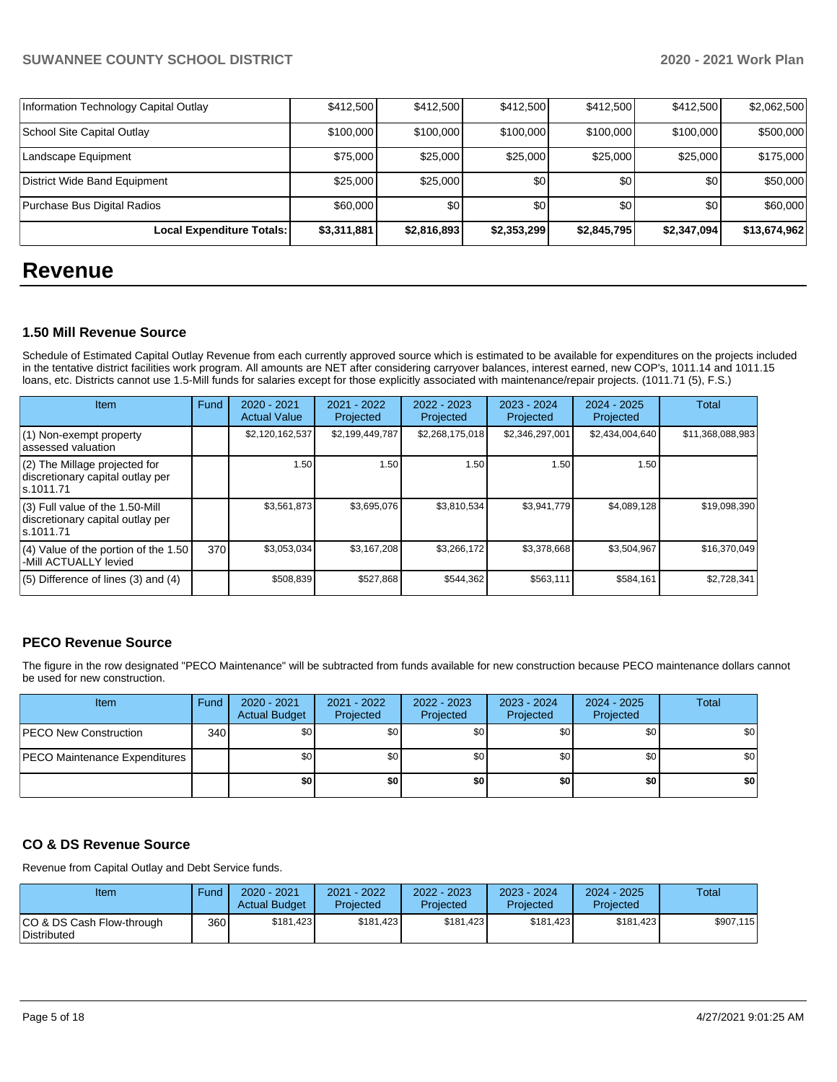| Local Expenditure Totals:             | \$3,311,881 | \$2,816,893 | \$2,353,299 | \$2,845,795 | \$2,347,094      | \$13,674,962 |
|---------------------------------------|-------------|-------------|-------------|-------------|------------------|--------------|
| Purchase Bus Digital Radios           | \$60,000    | \$0         | \$0         | \$0         | \$0 <sub>1</sub> | \$60,000     |
| District Wide Band Equipment          | \$25,000    | \$25,000    | \$0         | \$0         | \$0 <sub>1</sub> | \$50,000     |
| Landscape Equipment                   | \$75,000    | \$25,000    | \$25,000    | \$25,000    | \$25,000         | \$175,000    |
| School Site Capital Outlay            | \$100,000   | \$100,000   | \$100,000   | \$100,000   | \$100,000        | \$500,000    |
| Information Technology Capital Outlay | \$412,500   | \$412,500   | \$412,500   | \$412,500   | \$412,500        | \$2,062,500  |

# **Revenue**

#### **1.50 Mill Revenue Source**

Schedule of Estimated Capital Outlay Revenue from each currently approved source which is estimated to be available for expenditures on the projects included in the tentative district facilities work program. All amounts are NET after considering carryover balances, interest earned, new COP's, 1011.14 and 1011.15 loans, etc. Districts cannot use 1.5-Mill funds for salaries except for those explicitly associated with maintenance/repair projects. (1011.71 (5), F.S.)

| Item                                                                                | Fund | $2020 - 2021$<br><b>Actual Value</b> | $2021 - 2022$<br>Projected | $2022 - 2023$<br>Projected | $2023 - 2024$<br>Projected | $2024 - 2025$<br>Projected | Total            |
|-------------------------------------------------------------------------------------|------|--------------------------------------|----------------------------|----------------------------|----------------------------|----------------------------|------------------|
| (1) Non-exempt property<br>lassessed valuation                                      |      | \$2,120,162,537                      | \$2,199,449,787            | \$2,268,175,018            | \$2,346,297,001            | \$2,434,004,640            | \$11,368,088,983 |
| (2) The Millage projected for<br>discretionary capital outlay per<br>ls.1011.71     |      | 1.50                                 | 1.50                       | 1.50                       | 1.50                       | 1.50                       |                  |
| $(3)$ Full value of the 1.50-Mill<br>discretionary capital outlay per<br>ls.1011.71 |      | \$3,561,873                          | \$3,695,076                | \$3,810,534                | \$3,941,779                | \$4,089,128                | \$19,098,390     |
| $(4)$ Value of the portion of the 1.50<br>-Mill ACTUALLY levied                     | 370  | \$3,053,034                          | \$3,167,208                | \$3,266,172                | \$3,378,668                | \$3,504,967                | \$16,370,049     |
| $(5)$ Difference of lines $(3)$ and $(4)$                                           |      | \$508,839                            | \$527,868                  | \$544.362                  | \$563,111                  | \$584,161                  | \$2,728,341      |

### **PECO Revenue Source**

The figure in the row designated "PECO Maintenance" will be subtracted from funds available for new construction because PECO maintenance dollars cannot be used for new construction.

| <b>Item</b>                          | Fund         | 2020 - 2021<br><b>Actual Budget</b> | 2021 - 2022<br>Projected | 2022 - 2023<br>Projected | 2023 - 2024<br>Projected | 2024 - 2025<br>Projected | Total |
|--------------------------------------|--------------|-------------------------------------|--------------------------|--------------------------|--------------------------|--------------------------|-------|
| <b>PECO New Construction</b>         | 340 <b>I</b> | \$0                                 | \$0                      | \$0                      | \$0l                     | \$0                      | \$0   |
| <b>PECO Maintenance Expenditures</b> |              | \$0                                 | \$0                      | \$0                      | ا 30                     | \$0                      | \$0   |
|                                      |              | \$0                                 | \$0                      | \$0                      | \$0                      | \$0                      | \$0   |

### **CO & DS Revenue Source**

Revenue from Capital Outlay and Debt Service funds.

| Item                                      | Fund | 2020 - 2021<br><b>Actual Budget</b> | 2021 - 2022<br>Projected | $2022 - 2023$<br>Projected | 2023 - 2024<br>Projected | $2024 - 2025$<br>Projected | Total     |
|-------------------------------------------|------|-------------------------------------|--------------------------|----------------------------|--------------------------|----------------------------|-----------|
| ICO & DS Cash Flow-through<br>Distributed | 360  | \$181.423                           | \$181.423                | \$181,423                  | \$181.423                | \$181,423                  | \$907,115 |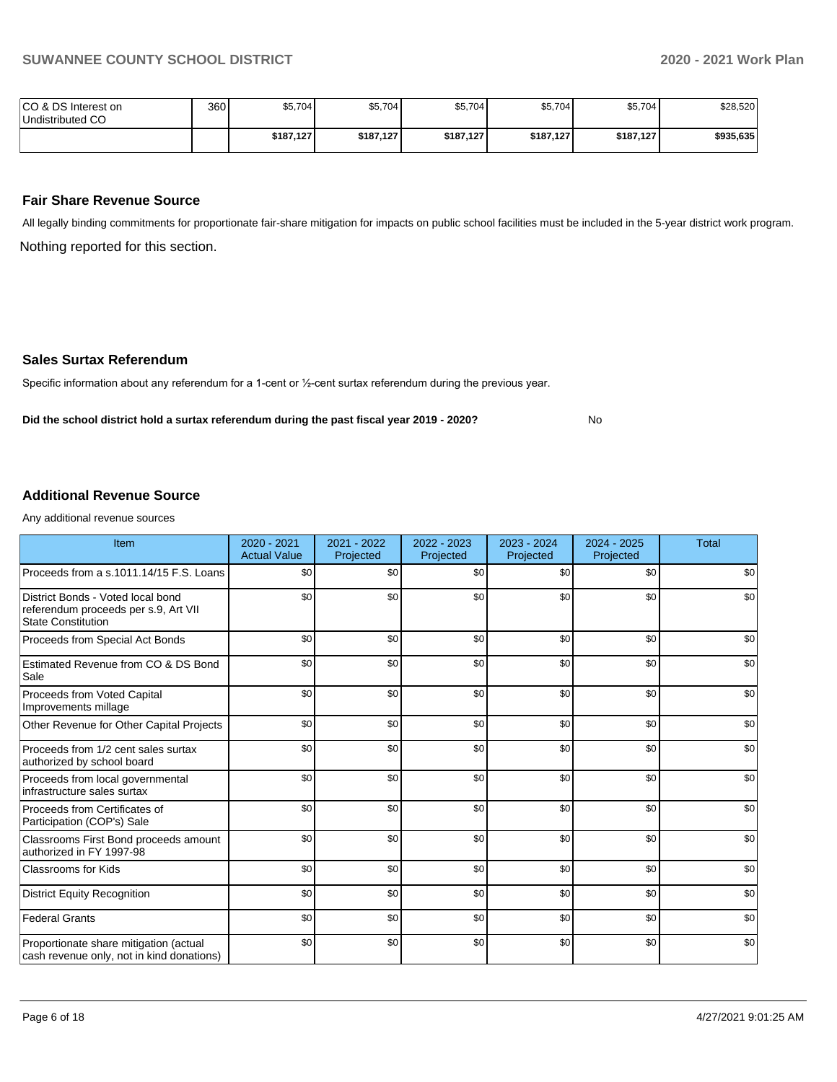No

| ICO & DS Interest on<br>Undistributed CO | 360 | \$5,704   | \$5,704   | \$5,704   | \$5,704   | \$5,704   | \$28,520  |
|------------------------------------------|-----|-----------|-----------|-----------|-----------|-----------|-----------|
|                                          |     | \$187,127 | \$187,127 | \$187,127 | \$187,127 | \$187,127 | \$935,635 |

#### **Fair Share Revenue Source**

Nothing reported for this section. All legally binding commitments for proportionate fair-share mitigation for impacts on public school facilities must be included in the 5-year district work program.

#### **Sales Surtax Referendum**

Specific information about any referendum for a 1-cent or ½-cent surtax referendum during the previous year.

**Did the school district hold a surtax referendum during the past fiscal year 2019 - 2020?**

#### **Additional Revenue Source**

Any additional revenue sources

| Item                                                                                                   | 2020 - 2021<br><b>Actual Value</b> | 2021 - 2022<br>Projected | 2022 - 2023<br>Projected | 2023 - 2024<br>Projected | $2024 - 2025$<br>Projected | <b>Total</b> |
|--------------------------------------------------------------------------------------------------------|------------------------------------|--------------------------|--------------------------|--------------------------|----------------------------|--------------|
| Proceeds from a s.1011.14/15 F.S. Loans                                                                | \$0                                | \$0                      | \$0                      | \$0                      | \$0                        | \$0          |
| District Bonds - Voted local bond<br>referendum proceeds per s.9, Art VII<br><b>State Constitution</b> | \$0                                | \$0                      | \$0                      | \$0                      | \$0                        | \$0          |
| Proceeds from Special Act Bonds                                                                        | \$0                                | \$0                      | \$0                      | \$0                      | \$0                        | \$0          |
| Estimated Revenue from CO & DS Bond<br>Sale                                                            | \$0                                | \$0                      | \$0                      | \$0                      | \$0                        | \$0          |
| Proceeds from Voted Capital<br>Improvements millage                                                    | \$0                                | \$0                      | \$0                      | \$0                      | \$0                        | \$0          |
| Other Revenue for Other Capital Projects                                                               | \$0                                | \$0                      | \$0                      | \$0                      | \$0                        | \$0          |
| Proceeds from 1/2 cent sales surtax<br>authorized by school board                                      | \$0                                | \$0                      | \$0                      | \$0                      | \$0                        | \$0          |
| Proceeds from local governmental<br>infrastructure sales surtax                                        | \$0                                | \$0                      | \$0                      | \$0                      | \$0                        | \$0          |
| Proceeds from Certificates of<br>Participation (COP's) Sale                                            | \$0                                | \$0                      | \$0                      | \$0                      | \$0                        | \$0          |
| Classrooms First Bond proceeds amount<br>authorized in FY 1997-98                                      | \$0                                | \$0                      | \$0                      | \$0                      | \$0                        | \$0          |
| <b>Classrooms for Kids</b>                                                                             | \$0                                | \$0                      | \$0                      | \$0                      | \$0                        | \$0          |
| <b>District Equity Recognition</b>                                                                     | \$0                                | \$0                      | \$0                      | \$0                      | \$0                        | \$0          |
| Federal Grants                                                                                         | \$0                                | \$0                      | \$0                      | \$0                      | \$0                        | \$0          |
| Proportionate share mitigation (actual<br>cash revenue only, not in kind donations)                    | \$0                                | \$0                      | \$0                      | \$0                      | \$0                        | \$0          |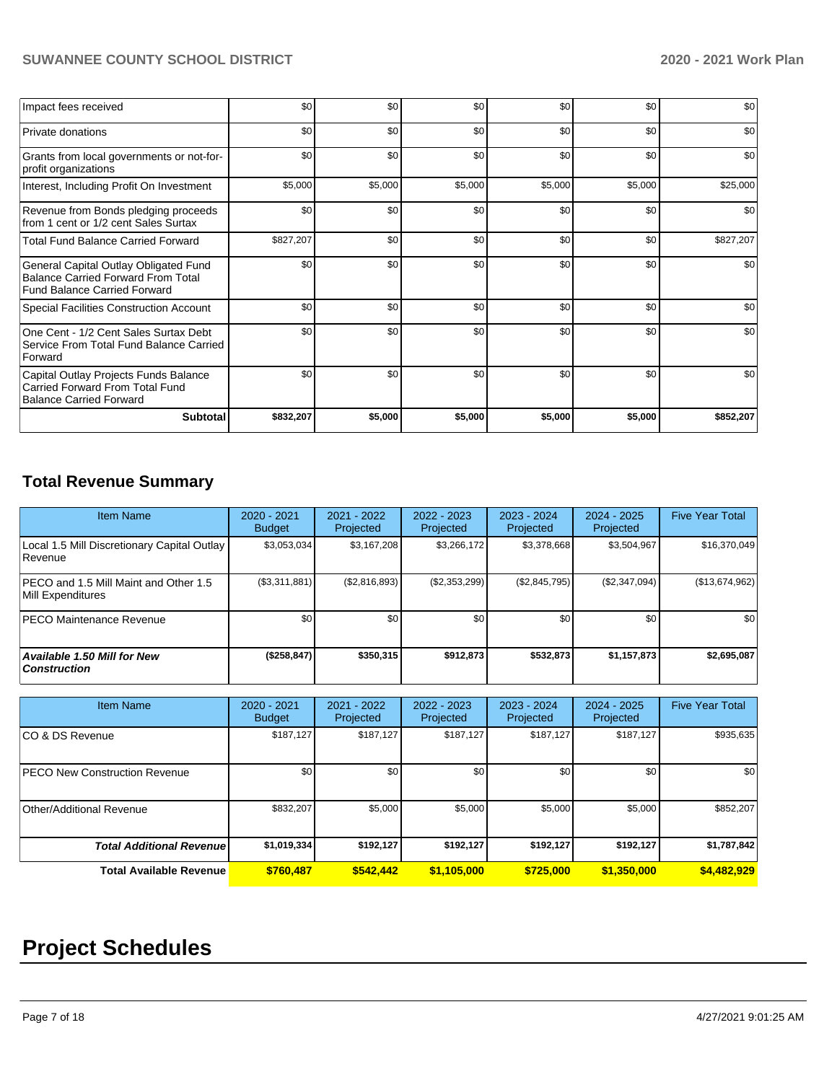| Impact fees received                                                                                                      | \$0       | \$0     | \$0     | \$0     | \$0     | \$0       |
|---------------------------------------------------------------------------------------------------------------------------|-----------|---------|---------|---------|---------|-----------|
| <b>Private donations</b>                                                                                                  | \$0       | \$0     | \$0     | \$0     | \$0     | \$0       |
| Grants from local governments or not-for-<br>profit organizations                                                         | \$0       | \$0     | \$0     | \$0     | \$0     | \$0       |
| Interest, Including Profit On Investment                                                                                  | \$5,000   | \$5,000 | \$5,000 | \$5,000 | \$5,000 | \$25,000  |
| Revenue from Bonds pledging proceeds<br>from 1 cent or 1/2 cent Sales Surtax                                              | \$0       | \$0     | \$0     | \$0     | \$0     | \$0       |
| <b>Total Fund Balance Carried Forward</b>                                                                                 | \$827,207 | \$0     | \$0     | \$0     | \$0     | \$827,207 |
| General Capital Outlay Obligated Fund<br><b>Balance Carried Forward From Total</b><br><b>Fund Balance Carried Forward</b> | \$0       | \$0     | \$0     | \$0     | \$0     | \$0       |
| Special Facilities Construction Account                                                                                   | \$0       | \$0     | \$0     | \$0     | \$0     | \$0       |
| One Cent - 1/2 Cent Sales Surtax Debt<br>Service From Total Fund Balance Carried<br>Forward                               | \$0       | \$0     | \$0     | \$0     | \$0     | \$0       |
| Capital Outlay Projects Funds Balance<br><b>Carried Forward From Total Fund</b><br><b>Balance Carried Forward</b>         | \$0       | \$0     | \$0     | \$0     | \$0     | \$0       |
| <b>Subtotal</b>                                                                                                           | \$832,207 | \$5,000 | \$5,000 | \$5,000 | \$5,000 | \$852,207 |

# **Total Revenue Summary**

| <b>Item Name</b>                                              | 2020 - 2021<br><b>Budget</b> | 2021 - 2022<br>Projected | 2022 - 2023<br>Projected | 2023 - 2024<br>Projected | 2024 - 2025<br>Projected | <b>Five Year Total</b> |
|---------------------------------------------------------------|------------------------------|--------------------------|--------------------------|--------------------------|--------------------------|------------------------|
| Local 1.5 Mill Discretionary Capital Outlay<br><b>Revenue</b> | \$3,053,034                  | \$3,167,208              | \$3,266,172              | \$3,378,668              | \$3,504,967              | \$16,370,049           |
| IPECO and 1.5 Mill Maint and Other 1.5<br>Mill Expenditures   | (\$3,311,881)                | (\$2,816,893)            | (\$2,353,299)            | (\$2,845,795)            | (\$2,347,094)            | (\$13,674,962)         |
| <b>IPECO Maintenance Revenue</b>                              | \$0                          | \$0 <sub>1</sub>         | \$0                      | \$0                      | \$0                      | \$0                    |
| <b>Available 1.50 Mill for New</b><br><b>Construction</b>     | (\$258, 847)                 | \$350.315                | \$912.873                | \$532.873                | \$1,157,873              | \$2,695,087            |

| <b>Item Name</b>                      | 2020 - 2021<br><b>Budget</b> | $2021 - 2022$<br>Projected | 2022 - 2023<br>Projected | $2023 - 2024$<br>Projected | 2024 - 2025<br>Projected | <b>Five Year Total</b> |
|---------------------------------------|------------------------------|----------------------------|--------------------------|----------------------------|--------------------------|------------------------|
| ICO & DS Revenue                      | \$187,127                    | \$187.127                  | \$187.127                | \$187.127                  | \$187,127                | \$935,635              |
| <b>IPECO New Construction Revenue</b> | \$0                          | \$0                        | \$0                      | \$0                        | \$0                      | \$0                    |
| Other/Additional Revenue              | \$832,207                    | \$5,000                    | \$5,000                  | \$5,000                    | \$5,000                  | \$852,207              |
| <b>Total Additional Revenuel</b>      | \$1,019,334                  | \$192,127                  | \$192,127                | \$192,127                  | \$192,127                | \$1,787,842            |
| <b>Total Available Revenue</b>        | \$760,487                    | \$542,442                  | \$1,105,000              | \$725,000                  | \$1,350,000              | \$4,482,929            |

# **Project Schedules**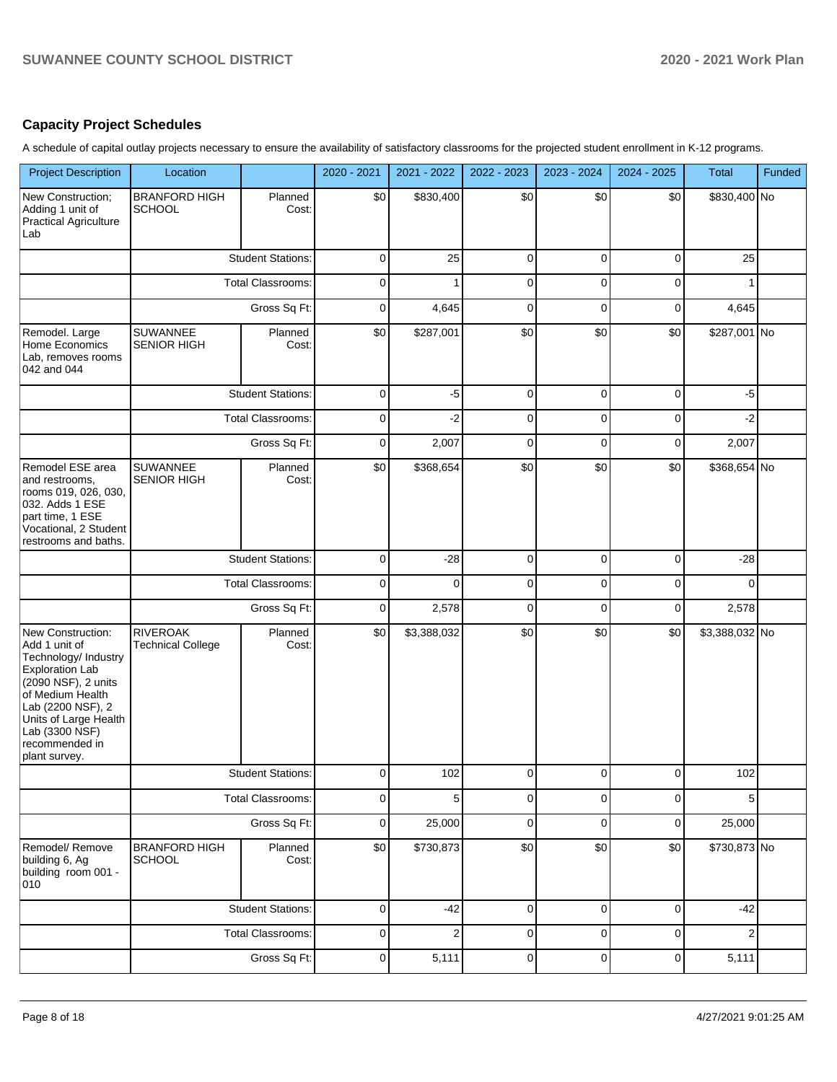### **Capacity Project Schedules**

A schedule of capital outlay projects necessary to ensure the availability of satisfactory classrooms for the projected student enrollment in K-12 programs.

| <b>Project Description</b>                                                                                                                                                                                                         | Location                                    |                          | 2020 - 2021 | 2021 - 2022      | 2022 - 2023 | 2023 - 2024 | 2024 - 2025 | <b>Total</b>   | Funded |
|------------------------------------------------------------------------------------------------------------------------------------------------------------------------------------------------------------------------------------|---------------------------------------------|--------------------------|-------------|------------------|-------------|-------------|-------------|----------------|--------|
| New Construction;<br>Adding 1 unit of<br><b>Practical Agriculture</b><br>Lab                                                                                                                                                       | <b>BRANFORD HIGH</b><br>SCHOOL              | Planned<br>Cost:         | \$0         | \$830,400        | \$0         | \$0         | \$0         | \$830,400 No   |        |
|                                                                                                                                                                                                                                    |                                             | <b>Student Stations:</b> | $\pmb{0}$   | 25               | $\mathbf 0$ | $\mathbf 0$ | $\mathbf 0$ | 25             |        |
|                                                                                                                                                                                                                                    |                                             | <b>Total Classrooms:</b> | $\mathbf 0$ | 1                | $\mathbf 0$ | $\mathbf 0$ | $\mathbf 0$ | 1              |        |
|                                                                                                                                                                                                                                    |                                             | Gross Sq Ft:             | $\pmb{0}$   | 4,645            | $\mathbf 0$ | $\mathbf 0$ | $\mathbf 0$ | 4,645          |        |
| Remodel. Large<br>Home Economics<br>Lab, removes rooms<br>042 and 044                                                                                                                                                              | SUWANNEE<br>SENIOR HIGH                     | Planned<br>Cost:         | \$0         | \$287,001        | \$0         | \$0         | \$0         | \$287,001 No   |        |
|                                                                                                                                                                                                                                    |                                             | <b>Student Stations:</b> | 0           | $-5$             | 0           | 0           | 0           | $-5$           |        |
|                                                                                                                                                                                                                                    |                                             | <b>Total Classrooms:</b> | 0           | $-2$             | 0           | 0           | 0           | $-2$           |        |
|                                                                                                                                                                                                                                    |                                             | Gross Sq Ft:             | 0           | 2,007            | $\mathbf 0$ | $\mathbf 0$ | $\mathbf 0$ | 2,007          |        |
| Remodel ESE area<br>and restrooms.<br>rooms 019, 026, 030,<br>032. Adds 1 ESE<br>part time, 1 ESE<br>Vocational, 2 Student<br>restrooms and baths.                                                                                 | <b>SUWANNEE</b><br><b>SENIOR HIGH</b>       | Planned<br>Cost:         | \$0         | \$368,654        | \$0         | \$0         | \$0         | \$368,654 No   |        |
|                                                                                                                                                                                                                                    |                                             | <b>Student Stations:</b> | $\pmb{0}$   | $-28$            | $\pmb{0}$   | $\mathbf 0$ | $\pmb{0}$   | $-28$          |        |
|                                                                                                                                                                                                                                    |                                             | Total Classrooms:        | $\pmb{0}$   | $\mathbf 0$      | $\pmb{0}$   | $\mathbf 0$ | $\pmb{0}$   | $\Omega$       |        |
|                                                                                                                                                                                                                                    |                                             | Gross Sq Ft:             | $\pmb{0}$   | 2,578            | $\pmb{0}$   | $\mathbf 0$ | $\pmb{0}$   | 2,578          |        |
| New Construction:<br>Add 1 unit of<br>Technology/ Industry<br><b>Exploration Lab</b><br>(2090 NSF), 2 units<br>of Medium Health<br>Lab (2200 NSF), 2<br>Units of Large Health<br>Lab (3300 NSF)<br>recommended in<br>plant survey. | <b>RIVEROAK</b><br><b>Technical College</b> | Planned<br>Cost:         | \$0         | \$3,388,032      | \$0         | \$0         | \$0         | \$3,388,032 No |        |
|                                                                                                                                                                                                                                    |                                             | <b>Student Stations:</b> | $\pmb{0}$   | 102              | 0           | 0           | $\pmb{0}$   | 102            |        |
|                                                                                                                                                                                                                                    |                                             | Total Classrooms:        | $\mathbf 0$ | 5                | $\mathbf 0$ | $\mathbf 0$ | $\mathbf 0$ | 5              |        |
|                                                                                                                                                                                                                                    |                                             | Gross Sq Ft:             | $\pmb{0}$   | 25,000           | $\pmb{0}$   | $\mathbf 0$ | $\pmb{0}$   | 25,000         |        |
| Remodel/Remove<br>building 6, Ag<br>building room 001 -<br>010                                                                                                                                                                     | <b>BRANFORD HIGH</b><br><b>SCHOOL</b>       | Planned<br>Cost:         | \$0         | \$730,873        | \$0         | \$0         | \$0         | \$730,873 No   |        |
|                                                                                                                                                                                                                                    |                                             | <b>Student Stations:</b> | $\pmb{0}$   | $-42$            | $\pmb{0}$   | $\pmb{0}$   | $\pmb{0}$   | $-42$          |        |
|                                                                                                                                                                                                                                    |                                             | Total Classrooms:        | $\pmb{0}$   | $\boldsymbol{2}$ | $\pmb{0}$   | $\pmb{0}$   | 0           | $\overline{c}$ |        |
|                                                                                                                                                                                                                                    |                                             | Gross Sq Ft:             | $\pmb{0}$   | 5,111            | $\pmb{0}$   | $\pmb{0}$   | $\pmb{0}$   | 5,111          |        |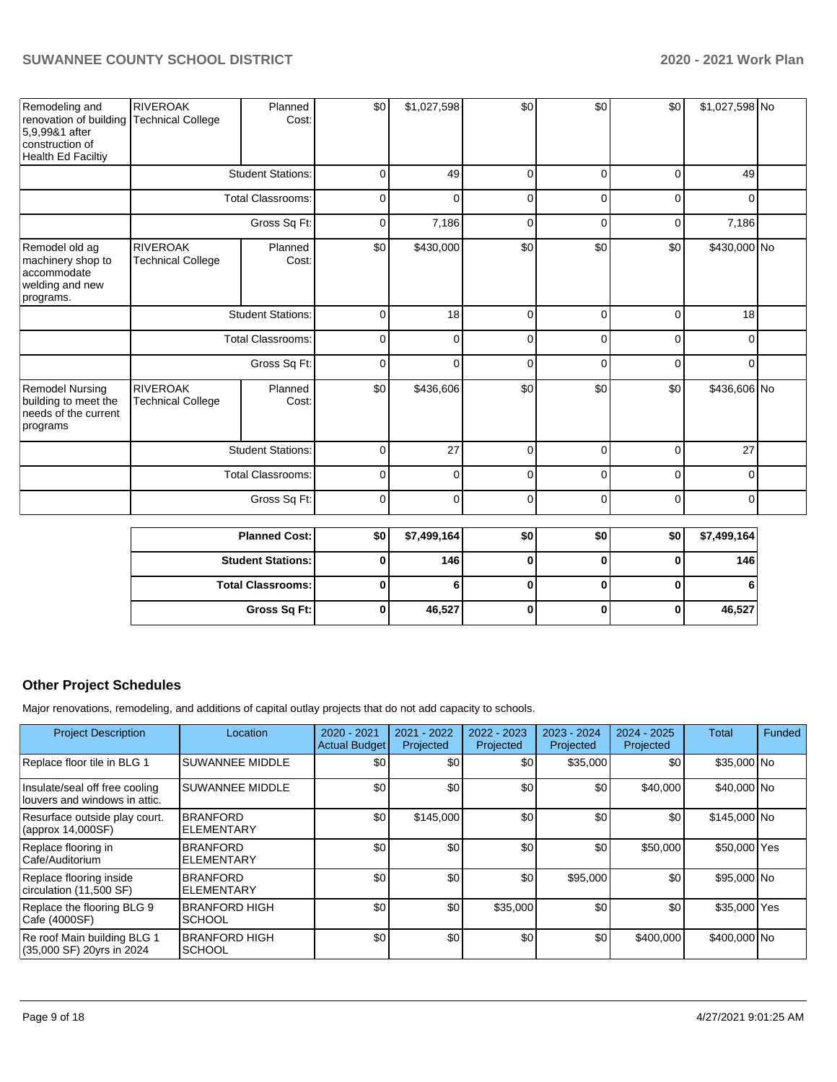| Remodeling and<br>renovation of building<br>5,9,99&1 after<br>construction of<br>Health Ed Faciltiy | <b>RIVEROAK</b><br><b>Technical College</b> | Planned<br>Cost:         | \$0 | \$1,027,598 | \$0         | \$0         | \$0         | \$1,027,598 No |  |
|-----------------------------------------------------------------------------------------------------|---------------------------------------------|--------------------------|-----|-------------|-------------|-------------|-------------|----------------|--|
|                                                                                                     |                                             | <b>Student Stations:</b> | 0   | 49          | $\mathbf 0$ | $\Omega$    | $\Omega$    | 49             |  |
|                                                                                                     |                                             | <b>Total Classrooms:</b> | 0   | $\Omega$    | $\Omega$    | $\Omega$    | $\Omega$    |                |  |
|                                                                                                     |                                             | Gross Sq Ft:             | 0   | 7,186       | $\mathbf 0$ | $\Omega$    | $\Omega$    | 7,186          |  |
| Remodel old ag<br>machinery shop to<br>accommodate<br>welding and new<br>programs.                  | <b>RIVEROAK</b><br><b>Technical College</b> | Planned<br>Cost:         | \$0 | \$430,000   | \$0         | \$0         | \$0         | \$430,000 No   |  |
|                                                                                                     |                                             | <b>Student Stations:</b> | 0   | 18          | $\mathbf 0$ | $\Omega$    | $\Omega$    | 18             |  |
|                                                                                                     |                                             | <b>Total Classrooms:</b> | 0   | $\Omega$    | $\mathbf 0$ | $\Omega$    | $\mathbf 0$ | 0              |  |
|                                                                                                     |                                             | Gross Sq Ft:             | 0   | $\Omega$    | $\mathbf 0$ | $\Omega$    | $\mathbf 0$ | 0              |  |
| <b>Remodel Nursing</b><br>building to meet the<br>needs of the current<br>programs                  | <b>RIVEROAK</b><br><b>Technical College</b> | Planned<br>Cost:         | \$0 | \$436,606   | \$0         | \$0         | \$0         | \$436,606 No   |  |
|                                                                                                     |                                             | <b>Student Stations:</b> | 0   | 27          | $\mathbf 0$ | $\Omega$    | $\Omega$    | 27             |  |
|                                                                                                     |                                             | <b>Total Classrooms:</b> | 0   | 0           | $\mathbf 0$ | 0           | $\Omega$    | $\Omega$       |  |
|                                                                                                     |                                             | Gross Sq Ft:             | 0   | 0           | $\mathbf 0$ | $\mathbf 0$ | $\mathbf 0$ | $\mathbf 0$    |  |

| <b>Planned Cost:</b>     | <b>\$01</b> | \$7,499,164 | \$0 | \$0 | \$0 | \$7,499,164 |
|--------------------------|-------------|-------------|-----|-----|-----|-------------|
| <b>Student Stations:</b> |             | 146         |     |     |     | 146         |
| <b>Total Classrooms:</b> |             |             |     |     |     |             |
| Gross Sq Ft:             | 0           | 46,527      |     |     |     | 46,527      |

### **Other Project Schedules**

Major renovations, remodeling, and additions of capital outlay projects that do not add capacity to schools.

| <b>Project Description</b>                                      | Location                              | 2020 - 2021<br><b>Actual Budget</b> | 2021 - 2022<br>Projected | 2022 - 2023<br>Projected | 2023 - 2024<br>Projected | $2024 - 2025$<br>Projected | <b>Total</b> | Funded |
|-----------------------------------------------------------------|---------------------------------------|-------------------------------------|--------------------------|--------------------------|--------------------------|----------------------------|--------------|--------|
| Replace floor tile in BLG 1                                     | <b>SUWANNEE MIDDLE</b>                | \$0                                 | \$0                      | \$0                      | \$35,000                 | \$0                        | \$35,000 No  |        |
| Insulate/seal off free cooling<br>louvers and windows in attic. | <b>SUWANNEE MIDDLE</b>                | \$0                                 | \$0                      | \$0                      | \$0                      | \$40,000                   | \$40,000 No  |        |
| Resurface outside play court.<br>$\vert$ (approx 14,000SF)      | <b>BRANFORD</b><br><b>ELEMENTARY</b>  | \$0                                 | \$145,000                | \$0                      | \$0                      | \$0                        | \$145,000 No |        |
| Replace flooring in<br>Cafe/Auditorium                          | <b>BRANFORD</b><br><b>ELEMENTARY</b>  | \$0                                 | \$0                      | \$0                      | \$0                      | \$50,000                   | \$50,000 Yes |        |
| Replace flooring inside<br>circulation (11,500 SF)              | <b>BRANFORD</b><br><b>ELEMENTARY</b>  | \$0                                 | \$0                      | \$0                      | \$95,000                 | \$0                        | \$95,000 No  |        |
| Replace the flooring BLG 9<br>Cafe (4000SF)                     | <b>BRANFORD HIGH</b><br><b>SCHOOL</b> | \$0                                 | \$0                      | \$35,000                 | \$0                      | \$0                        | \$35,000 Yes |        |
| Re roof Main building BLG 1<br>(35,000 SF) 20yrs in 2024        | <b>BRANFORD HIGH</b><br><b>SCHOOL</b> | \$0                                 | \$0                      | \$0                      | \$0                      | \$400,000                  | \$400,000 No |        |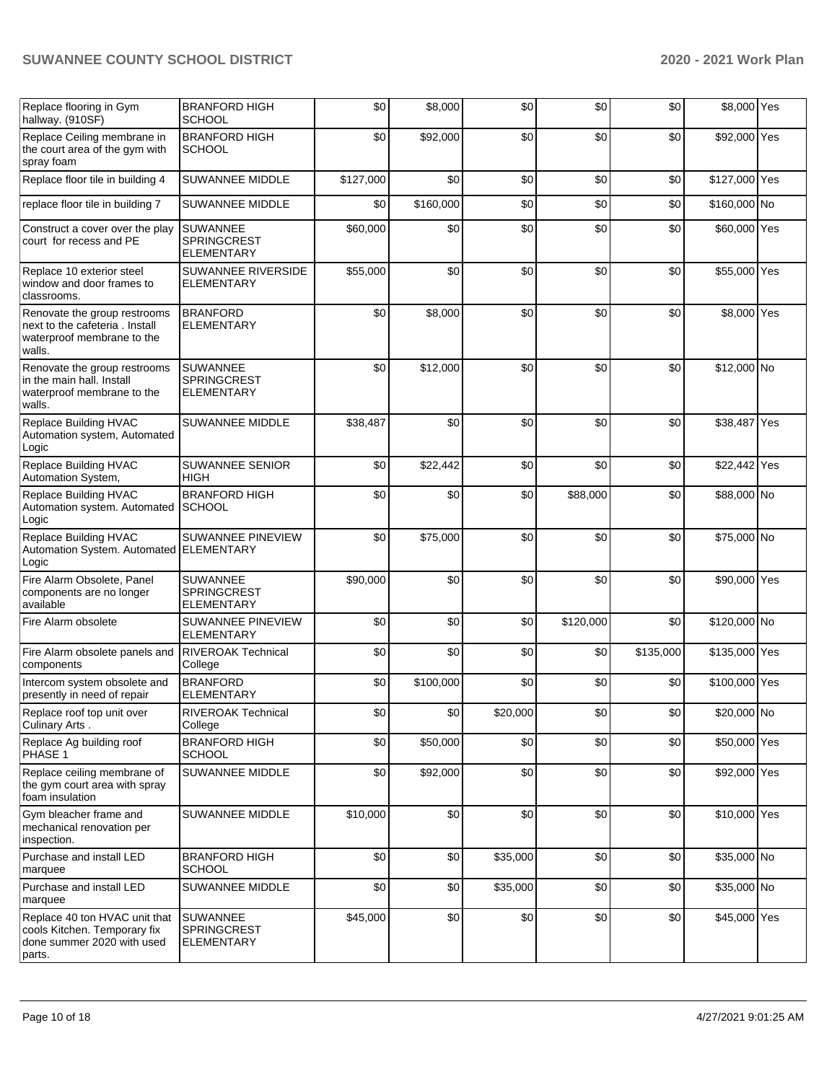| Replace flooring in Gym<br>hallway. (910SF)                                                            | <b>BRANFORD HIGH</b><br><b>SCHOOL</b>                      | \$0       | \$8,000   | \$0      | \$0       | \$0       | \$8,000 Yes   |  |
|--------------------------------------------------------------------------------------------------------|------------------------------------------------------------|-----------|-----------|----------|-----------|-----------|---------------|--|
| Replace Ceiling membrane in<br>the court area of the gym with<br>spray foam                            | <b>BRANFORD HIGH</b><br><b>SCHOOL</b>                      | \$0       | \$92,000  | \$0      | \$0       | \$0       | \$92,000 Yes  |  |
| Replace floor tile in building 4                                                                       | SUWANNEE MIDDLE                                            | \$127,000 | \$0       | \$0      | \$0       | \$0       | \$127,000 Yes |  |
| replace floor tile in building 7                                                                       | SUWANNEE MIDDLE                                            | \$0       | \$160,000 | \$0      | \$0       | \$0       | \$160,000 No  |  |
| Construct a cover over the play<br>court for recess and PE                                             | <b>SUWANNEE</b><br><b>SPRINGCREST</b><br><b>ELEMENTARY</b> | \$60,000  | \$0       | \$0      | \$0       | \$0       | \$60,000 Yes  |  |
| Replace 10 exterior steel<br>window and door frames to<br>classrooms.                                  | SUWANNEE RIVERSIDE<br><b>ELEMENTARY</b>                    | \$55,000  | \$0       | \$0      | \$0       | \$0       | \$55,000 Yes  |  |
| Renovate the group restrooms<br>next to the cafeteria, Install<br>waterproof membrane to the<br>walls. | <b>BRANFORD</b><br><b>ELEMENTARY</b>                       | \$0       | \$8,000   | \$0      | \$0       | \$0       | \$8,000 Yes   |  |
| Renovate the group restrooms<br>in the main hall. Install<br>waterproof membrane to the<br>walls.      | <b>SUWANNEE</b><br><b>SPRINGCREST</b><br><b>ELEMENTARY</b> | \$0       | \$12,000  | \$0      | \$0       | \$0       | \$12,000 No   |  |
| <b>Replace Building HVAC</b><br>Automation system, Automated<br>Logic                                  | SUWANNEE MIDDLE                                            | \$38,487  | \$0       | \$0      | \$0       | \$0       | \$38,487 Yes  |  |
| Replace Building HVAC<br>Automation System,                                                            | <b>SUWANNEE SENIOR</b><br><b>HIGH</b>                      | \$0       | \$22,442  | \$0      | \$0       | \$0       | \$22,442 Yes  |  |
| Replace Building HVAC<br>Automation system. Automated<br>Logic                                         | <b>BRANFORD HIGH</b><br><b>SCHOOL</b>                      | \$0       | \$0       | \$0      | \$88,000  | \$0       | \$88,000 No   |  |
| Replace Building HVAC<br>Automation System. Automated<br>Logic                                         | SUWANNEE PINEVIEW<br><b>ELEMENTARY</b>                     | \$0       | \$75,000  | \$0      | \$0       | \$0       | \$75,000 No   |  |
| Fire Alarm Obsolete, Panel<br>components are no longer<br>available                                    | <b>SUWANNEE</b><br>SPRINGCREST<br><b>ELEMENTARY</b>        | \$90,000  | \$0       | \$0      | \$0       | \$0       | \$90,000 Yes  |  |
| Fire Alarm obsolete                                                                                    | SUWANNEE PINEVIEW<br><b>ELEMENTARY</b>                     | \$0       | \$0       | \$0      | \$120,000 | \$0       | \$120,000 No  |  |
| Fire Alarm obsolete panels and<br>components                                                           | <b>RIVEROAK Technical</b><br>College                       | \$0       | \$0       | \$0      | \$0       | \$135,000 | \$135,000 Yes |  |
| Intercom system obsolete and<br>presently in need of repair                                            | <b>BRANFORD</b><br><b>ELEMENTARY</b>                       | \$0       | \$100,000 | \$0      | \$0       | \$0       | \$100,000 Yes |  |
| Replace roof top unit over<br>Culinary Arts.                                                           | <b>RIVEROAK Technical</b><br>College                       | \$01      | \$0       | \$20,000 | \$0       | \$0       | \$20,000 No   |  |
| Replace Ag building roof<br>PHASE 1                                                                    | <b>BRANFORD HIGH</b><br><b>SCHOOL</b>                      | \$0       | \$50,000  | \$0      | \$0       | \$0       | \$50,000 Yes  |  |
| Replace ceiling membrane of<br>the gym court area with spray<br>foam insulation                        | SUWANNEE MIDDLE                                            | \$0       | \$92,000  | \$0      | \$0       | \$0       | \$92,000 Yes  |  |
| Gym bleacher frame and<br>mechanical renovation per<br>inspection.                                     | SUWANNEE MIDDLE                                            | \$10,000  | \$0       | \$0      | \$0       | \$0       | \$10,000 Yes  |  |
| Purchase and install LED<br>marquee                                                                    | <b>BRANFORD HIGH</b><br><b>SCHOOL</b>                      | \$0       | \$0       | \$35,000 | \$0       | \$0       | \$35,000 No   |  |
| Purchase and install LED<br>marquee                                                                    | SUWANNEE MIDDLE                                            | \$0       | \$0       | \$35,000 | \$0       | \$0       | \$35,000 No   |  |
| Replace 40 ton HVAC unit that<br>cools Kitchen. Temporary fix<br>done summer 2020 with used<br>parts.  | <b>SUWANNEE</b><br><b>SPRINGCREST</b><br><b>ELEMENTARY</b> | \$45,000  | \$0       | \$0      | \$0       | \$0       | \$45,000 Yes  |  |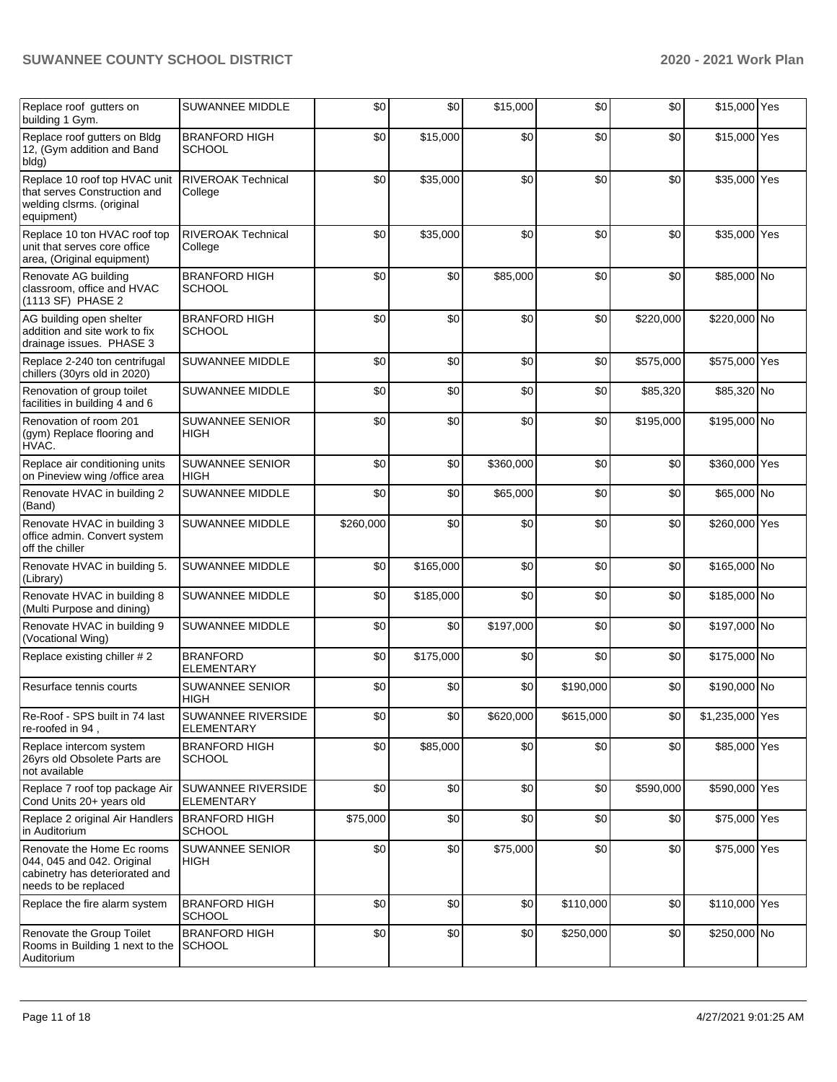| Replace roof gutters on<br>building 1 Gym.                                                                         | SUWANNEE MIDDLE                                | \$0       | \$0       | \$15,000  | \$0       | \$0       | \$15,000 Yes    |  |
|--------------------------------------------------------------------------------------------------------------------|------------------------------------------------|-----------|-----------|-----------|-----------|-----------|-----------------|--|
| Replace roof gutters on Bldg<br>12, (Gym addition and Band<br>bldg)                                                | <b>BRANFORD HIGH</b><br><b>SCHOOL</b>          | \$0       | \$15,000  | \$0       | \$0       | \$0       | \$15,000 Yes    |  |
| Replace 10 roof top HVAC unit<br>that serves Construction and<br>welding clsrms. (original<br>equipment)           | <b>RIVEROAK Technical</b><br>College           | \$0       | \$35,000  | \$0       | \$0       | \$0       | \$35,000 Yes    |  |
| Replace 10 ton HVAC roof top<br>unit that serves core office<br>area, (Original equipment)                         | <b>RIVEROAK Technical</b><br>College           | \$0       | \$35,000  | \$0       | \$0       | \$0       | \$35,000 Yes    |  |
| Renovate AG building<br>classroom, office and HVAC<br>(1113 SF) PHASE 2                                            | <b>BRANFORD HIGH</b><br><b>SCHOOL</b>          | \$0       | \$0       | \$85,000  | \$0       | \$0       | \$85,000 No     |  |
| AG building open shelter<br>addition and site work to fix<br>drainage issues. PHASE 3                              | <b>BRANFORD HIGH</b><br><b>SCHOOL</b>          | \$0       | \$0       | \$0       | \$0       | \$220,000 | \$220,000 No    |  |
| Replace 2-240 ton centrifugal<br>chillers (30yrs old in 2020)                                                      | SUWANNEE MIDDLE                                | \$0       | \$0       | \$0       | \$0       | \$575,000 | \$575,000 Yes   |  |
| Renovation of group toilet<br>facilities in building 4 and 6                                                       | SUWANNEE MIDDLE                                | \$0       | \$0       | \$0       | \$0       | \$85,320  | \$85,320 No     |  |
| Renovation of room 201<br>(gym) Replace flooring and<br>HVAC.                                                      | <b>SUWANNEE SENIOR</b><br><b>HIGH</b>          | \$0       | \$0       | \$0       | \$0       | \$195,000 | \$195,000 No    |  |
| Replace air conditioning units<br>on Pineview wing /office area                                                    | SUWANNEE SENIOR<br><b>HIGH</b>                 | \$0       | \$0       | \$360,000 | \$0       | \$0       | \$360,000 Yes   |  |
| Renovate HVAC in building 2<br>(Band)                                                                              | SUWANNEE MIDDLE                                | \$0       | \$0       | \$65,000  | \$0       | \$0       | \$65,000 No     |  |
| Renovate HVAC in building 3<br>office admin. Convert system<br>off the chiller                                     | SUWANNEE MIDDLE                                | \$260,000 | \$0       | \$0       | \$0       | \$0       | \$260,000 Yes   |  |
| Renovate HVAC in building 5.<br>(Library)                                                                          | SUWANNEE MIDDLE                                | \$0       | \$165,000 | \$0       | \$0       | \$0       | \$165,000 No    |  |
| Renovate HVAC in building 8<br>(Multi Purpose and dining)                                                          | SUWANNEE MIDDLE                                | \$0       | \$185,000 | \$0       | \$0       | \$0       | \$185,000 No    |  |
| Renovate HVAC in building 9<br>(Vocational Wing)                                                                   | SUWANNEE MIDDLE                                | \$0       | \$0       | \$197,000 | \$0       | \$0       | \$197,000 No    |  |
| Replace existing chiller #2                                                                                        | <b>BRANFORD</b><br><b>ELEMENTARY</b>           | \$0       | \$175,000 | \$0       | \$0       | \$0       | \$175,000 No    |  |
| Resurface tennis courts                                                                                            | <b>SUWANNEE SENIOR</b><br>HIGH                 | \$0       | \$0       | \$0       | \$190,000 | \$0       | \$190,000 No    |  |
| Re-Roof - SPS built in 74 last<br>re-roofed in 94,                                                                 | <b>SUWANNEE RIVERSIDE</b><br><b>ELEMENTARY</b> | \$0       | \$0       | \$620,000 | \$615,000 | \$0       | \$1,235,000 Yes |  |
| Replace intercom system<br>26yrs old Obsolete Parts are<br>not available                                           | <b>BRANFORD HIGH</b><br><b>SCHOOL</b>          | \$0       | \$85,000  | \$0       | \$0       | \$0       | \$85,000 Yes    |  |
| Replace 7 roof top package Air<br>Cond Units 20+ years old                                                         | <b>SUWANNEE RIVERSIDE</b><br><b>ELEMENTARY</b> | \$0       | \$0       | \$0       | \$0       | \$590,000 | \$590,000 Yes   |  |
| Replace 2 original Air Handlers<br>in Auditorium                                                                   | <b>BRANFORD HIGH</b><br><b>SCHOOL</b>          | \$75,000  | \$0       | \$0       | \$0       | \$0       | \$75,000 Yes    |  |
| Renovate the Home Ec rooms<br>044, 045 and 042. Original<br>cabinetry has deteriorated and<br>needs to be replaced | <b>SUWANNEE SENIOR</b><br>HIGH                 | \$0       | \$0       | \$75,000  | \$0       | \$0       | \$75,000 Yes    |  |
| Replace the fire alarm system                                                                                      | <b>BRANFORD HIGH</b><br><b>SCHOOL</b>          | \$0       | \$0       | \$0       | \$110,000 | \$0       | \$110,000 Yes   |  |
| Renovate the Group Toilet<br>Rooms in Building 1 next to the<br>Auditorium                                         | <b>BRANFORD HIGH</b><br><b>SCHOOL</b>          | \$0       | \$0       | \$0       | \$250,000 | \$0       | \$250,000 No    |  |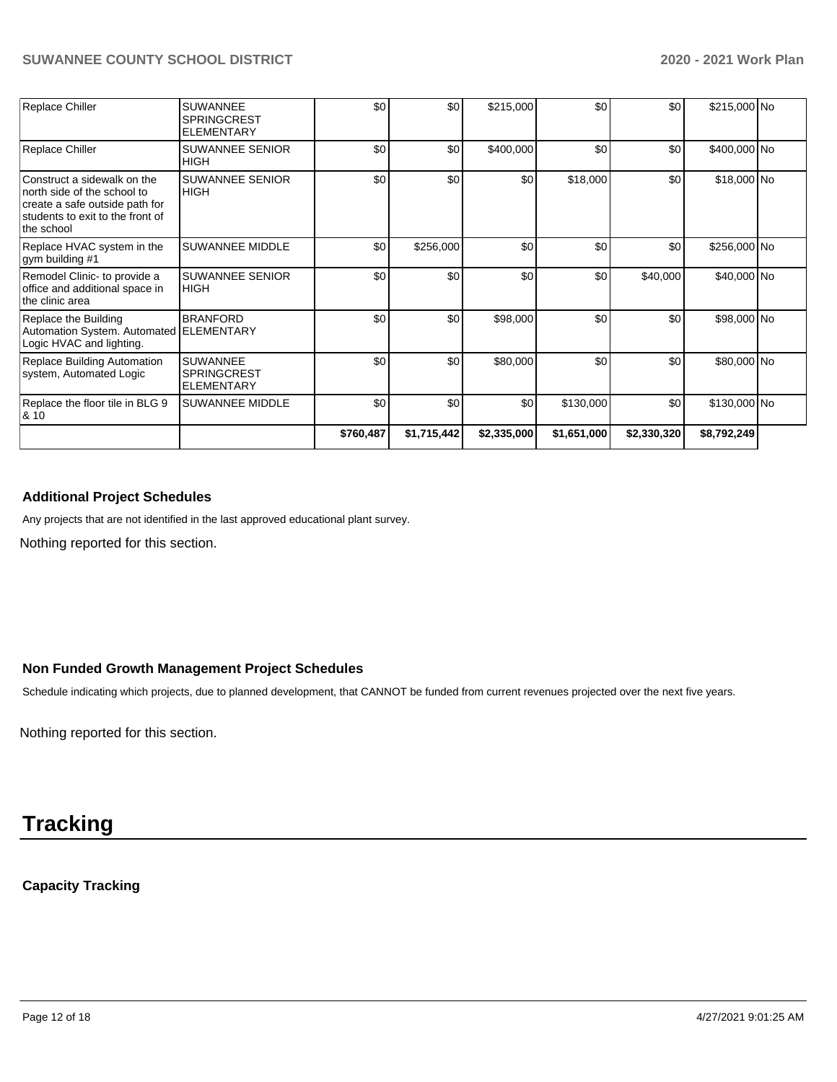| Replace Chiller                                                                                                                                | <b>SUWANNEE</b><br><b>SPRINGCREST</b><br><b>ELEMENTARY</b> | \$0       | \$0              | \$215,000   | \$0         | \$0         | \$215,000 No |  |
|------------------------------------------------------------------------------------------------------------------------------------------------|------------------------------------------------------------|-----------|------------------|-------------|-------------|-------------|--------------|--|
| Replace Chiller                                                                                                                                | <b>SUWANNEE SENIOR</b><br><b>HIGH</b>                      | \$0       | \$0              | \$400,000   | \$0         | \$0         | \$400,000 No |  |
| Construct a sidewalk on the<br>north side of the school to<br>create a safe outside path for<br>students to exit to the front of<br>the school | <b>SUWANNEE SENIOR</b><br><b>HIGH</b>                      | \$0       | \$0              | \$0         | \$18,000    | \$0         | \$18,000 No  |  |
| Replace HVAC system in the<br>gym building #1                                                                                                  | <b>SUWANNEE MIDDLE</b>                                     | \$0       | \$256,000        | \$0         | \$0         | \$0         | \$256,000 No |  |
| Remodel Clinic- to provide a<br>office and additional space in<br>the clinic area                                                              | <b>SUWANNEE SENIOR</b><br><b>HIGH</b>                      | \$0       | \$0              | \$0         | \$0         | \$40,000    | \$40,000 No  |  |
| Replace the Building<br>Automation System. Automated ELEMENTARY<br>Logic HVAC and lighting.                                                    | <b>BRANFORD</b>                                            | \$0       | \$0              | \$98,000    | \$0         | \$0         | \$98,000 No  |  |
| Replace Building Automation<br>system, Automated Logic                                                                                         | <b>SUWANNEE</b><br><b>SPRINGCREST</b><br><b>ELEMENTARY</b> | \$0       | \$0 <sub>1</sub> | \$80,000    | \$0         | \$0         | \$80,000 No  |  |
| Replace the floor tile in BLG 9<br>8. 10                                                                                                       | <b>SUWANNEE MIDDLE</b>                                     | \$0       | \$0              | \$0         | \$130,000   | \$0         | \$130,000 No |  |
|                                                                                                                                                |                                                            | \$760,487 | \$1,715,442      | \$2,335,000 | \$1,651,000 | \$2,330,320 | \$8,792,249  |  |

#### **Additional Project Schedules**

Any projects that are not identified in the last approved educational plant survey.

Nothing reported for this section.

#### **Non Funded Growth Management Project Schedules**

Schedule indicating which projects, due to planned development, that CANNOT be funded from current revenues projected over the next five years.

Nothing reported for this section.

# **Tracking**

**Capacity Tracking**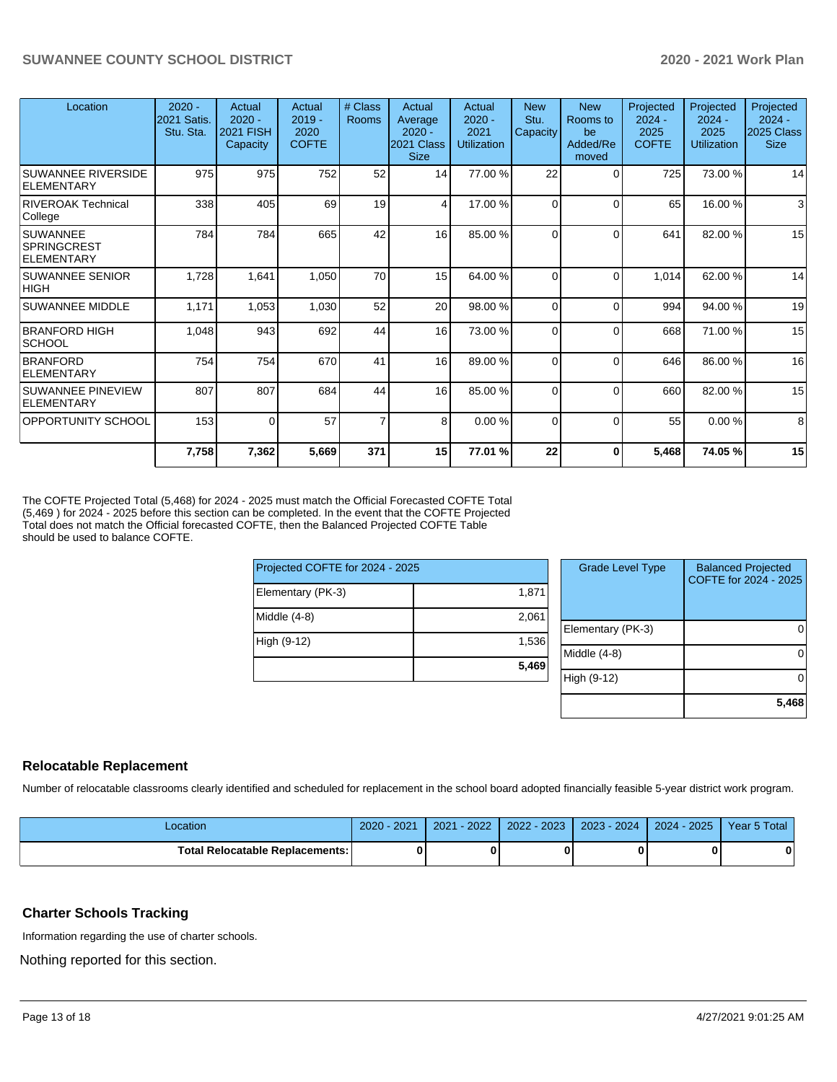| Location                                            | $2020 -$<br>2021 Satis.<br>Stu. Sta. | Actual<br>$2020 -$<br>2021 FISH<br>Capacity | Actual<br>$2019 -$<br>2020<br><b>COFTE</b> | # Class<br><b>Rooms</b> | Actual<br>Average<br>$2020 -$<br>2021 Class<br><b>Size</b> | Actual<br>$2020 -$<br>2021<br><b>Utilization</b> | <b>New</b><br>Stu.<br>Capacity | <b>New</b><br>Rooms to<br>be<br>Added/Re<br>moved | Projected<br>$2024 -$<br>2025<br><b>COFTE</b> | Projected<br>$2024 -$<br>2025<br><b>Utilization</b> | Projected<br>$2024 -$<br>2025 Class<br><b>Size</b> |
|-----------------------------------------------------|--------------------------------------|---------------------------------------------|--------------------------------------------|-------------------------|------------------------------------------------------------|--------------------------------------------------|--------------------------------|---------------------------------------------------|-----------------------------------------------|-----------------------------------------------------|----------------------------------------------------|
| <b>SUWANNEE RIVERSIDE</b><br>ELEMENTARY             | 975                                  | 975                                         | 752                                        | 52                      | 14                                                         | 77.00 %                                          | 22                             | $\Omega$                                          | 725                                           | 73.00 %                                             | 14                                                 |
| <b>RIVEROAK Technical</b><br>College                | 338                                  | 405                                         | 69                                         | 19                      | 4                                                          | 17.00 %                                          | $\Omega$                       | $\Omega$                                          | 65                                            | 16.00 %                                             | 3                                                  |
| <b>SUWANNEE</b><br><b>SPRINGCREST</b><br>ELEMENTARY | 784                                  | 784                                         | 665                                        | 42                      | 16                                                         | 85.00 %                                          | $\Omega$                       | $\Omega$                                          | 641                                           | 82.00 %                                             | 15                                                 |
| <b>SUWANNEE SENIOR</b><br><b>HIGH</b>               | 1,728                                | 1,641                                       | 1,050                                      | 70                      | 15                                                         | 64.00%                                           | $\Omega$                       | $\Omega$                                          | 1,014                                         | 62.00 %                                             | 14                                                 |
| <b>SUWANNEE MIDDLE</b>                              | 1,171                                | 1,053                                       | 1,030                                      | 52                      | 20                                                         | 98.00 %                                          | $\Omega$                       | $\Omega$                                          | 994                                           | 94.00 %                                             | 19                                                 |
| <b>BRANFORD HIGH</b><br>SCHOOL                      | 1,048                                | 943                                         | 692                                        | 44                      | 16                                                         | 73.00 %                                          | 0                              | $\Omega$                                          | 668                                           | 71.00 %                                             | 15                                                 |
| <b>BRANFORD</b><br><b>ELEMENTARY</b>                | 754                                  | 754                                         | 670                                        | 41                      | 16                                                         | 89.00 %                                          | $\Omega$                       | $\Omega$                                          | 646                                           | 86.00 %                                             | 16                                                 |
| SUWANNEE PINEVIEW<br><b>ELEMENTARY</b>              | 807                                  | 807                                         | 684                                        | 44                      | 16                                                         | 85.00 %                                          | $\Omega$                       | $\Omega$                                          | 660                                           | 82.00 %                                             | 15                                                 |
| <b>OPPORTUNITY SCHOOL</b>                           | 153                                  | $\Omega$                                    | 57                                         | $\overline{7}$          | 8                                                          | 0.00%                                            | $\Omega$                       | $\Omega$                                          | 55                                            | 0.00%                                               | 8                                                  |
|                                                     | 7,758                                | 7,362                                       | 5,669                                      | 371                     | 15                                                         | 77.01 %                                          | 22                             | 0                                                 | 5,468                                         | 74.05%                                              | 15                                                 |

The COFTE Projected Total (5,468) for 2024 - 2025 must match the Official Forecasted COFTE Total (5,469 ) for 2024 - 2025 before this section can be completed. In the event that the COFTE Projected Total does not match the Official forecasted COFTE, then the Balanced Projected COFTE Table should be used to balance COFTE.

| Projected COFTE for 2024 - 2025 |       | Grad    |
|---------------------------------|-------|---------|
| Elementary (PK-3)               | 1,871 |         |
| Middle $(4-8)$                  | 2,061 | Elemen  |
| High (9-12)                     | 1.536 | Middle  |
|                                 | 5,469 | High (9 |
|                                 |       |         |

| <b>Grade Level Type</b> | <b>Balanced Projected</b><br>COFTE for 2024 - 2025 |
|-------------------------|----------------------------------------------------|
| Elementary (PK-3)       |                                                    |
| Middle (4-8)            |                                                    |
| High (9-12)             |                                                    |
|                         | 5,468                                              |

#### **Relocatable Replacement**

Number of relocatable classrooms clearly identified and scheduled for replacement in the school board adopted financially feasible 5-year district work program.

| Location                        | $-2021$<br>$2020 -$ | $-2022$<br>2021 | $2022 - 2023$ | 2023 - 2024 2024 - 2025 | Year 5 Total |
|---------------------------------|---------------------|-----------------|---------------|-------------------------|--------------|
| Total Relocatable Replacements: |                     |                 |               |                         |              |

#### **Charter Schools Tracking**

Information regarding the use of charter schools.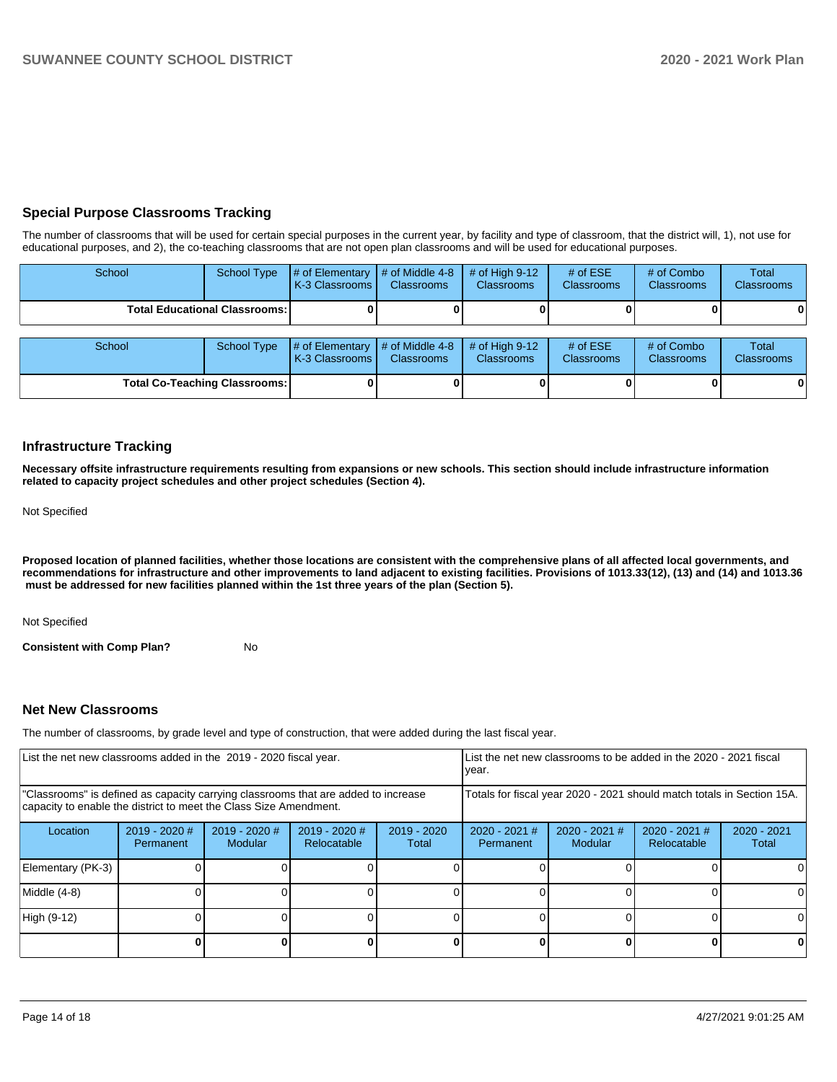#### **Special Purpose Classrooms Tracking**

The number of classrooms that will be used for certain special purposes in the current year, by facility and type of classroom, that the district will, 1), not use for educational purposes, and 2), the co-teaching classrooms that are not open plan classrooms and will be used for educational purposes.

| School |                                        | School Type $\parallel \#$ of Elementary $\parallel \#$ of Middle 4-8 $\parallel \#$ of High 9-12<br><b>K-3 Classrooms</b> | <b>Classrooms</b> | <b>Classrooms</b> | $#$ of $ESE$<br><b>Classrooms</b> | # of Combo<br><b>Classrooms</b> | Total<br><b>Classrooms</b> |
|--------|----------------------------------------|----------------------------------------------------------------------------------------------------------------------------|-------------------|-------------------|-----------------------------------|---------------------------------|----------------------------|
|        | <b>Total Educational Classrooms: I</b> |                                                                                                                            | 01                |                   |                                   | 0 I                             | $\bf{0}$                   |

| <b>School</b> | School Type                          | # of Elementary  # of Middle 4-8  # of High 9-12<br><b>K-3 Classrooms</b> | <b>Classrooms</b> | <b>Classrooms</b> | $#$ of ESE<br><b>Classrooms</b> | # of Combo<br><b>Classrooms</b> | Total<br><b>Classrooms</b> |
|---------------|--------------------------------------|---------------------------------------------------------------------------|-------------------|-------------------|---------------------------------|---------------------------------|----------------------------|
|               | <b>Total Co-Teaching Classrooms:</b> |                                                                           |                   |                   |                                 | 0                               | 01                         |

#### **Infrastructure Tracking**

**Necessary offsite infrastructure requirements resulting from expansions or new schools. This section should include infrastructure information related to capacity project schedules and other project schedules (Section 4).** 

Not Specified

**Proposed location of planned facilities, whether those locations are consistent with the comprehensive plans of all affected local governments, and recommendations for infrastructure and other improvements to land adjacent to existing facilities. Provisions of 1013.33(12), (13) and (14) and 1013.36** must be addressed for new facilities planned within the 1st three years of the plan (Section 5).

Not Specified

**Consistent with Comp Plan?** No

#### **Net New Classrooms**

The number of classrooms, by grade level and type of construction, that were added during the last fiscal year.

| List the net new classrooms added in the 2019 - 2020 fiscal year.                                                                                       |                            |                                   | List the net new classrooms to be added in the 2020 - 2021 fiscal<br>year. |                                                                        |                              |                          |                                |                        |
|---------------------------------------------------------------------------------------------------------------------------------------------------------|----------------------------|-----------------------------------|----------------------------------------------------------------------------|------------------------------------------------------------------------|------------------------------|--------------------------|--------------------------------|------------------------|
| "Classrooms" is defined as capacity carrying classrooms that are added to increase<br>capacity to enable the district to meet the Class Size Amendment. |                            |                                   |                                                                            | Totals for fiscal year 2020 - 2021 should match totals in Section 15A. |                              |                          |                                |                        |
| Location                                                                                                                                                | 2019 - 2020 #<br>Permanent | $2019 - 2020$ #<br><b>Modular</b> | $2019 - 2020$ #<br>Relocatable                                             | $2019 - 2020$<br>Total                                                 | $2020 - 2021$ #<br>Permanent | 2020 - 2021 #<br>Modular | $2020 - 2021$ #<br>Relocatable | $2020 - 2021$<br>Total |
| Elementary (PK-3)                                                                                                                                       |                            |                                   |                                                                            |                                                                        |                              |                          |                                |                        |
| Middle (4-8)                                                                                                                                            |                            |                                   |                                                                            |                                                                        |                              |                          |                                |                        |
| High (9-12)                                                                                                                                             |                            |                                   |                                                                            |                                                                        |                              |                          |                                |                        |
|                                                                                                                                                         |                            |                                   |                                                                            |                                                                        |                              |                          |                                |                        |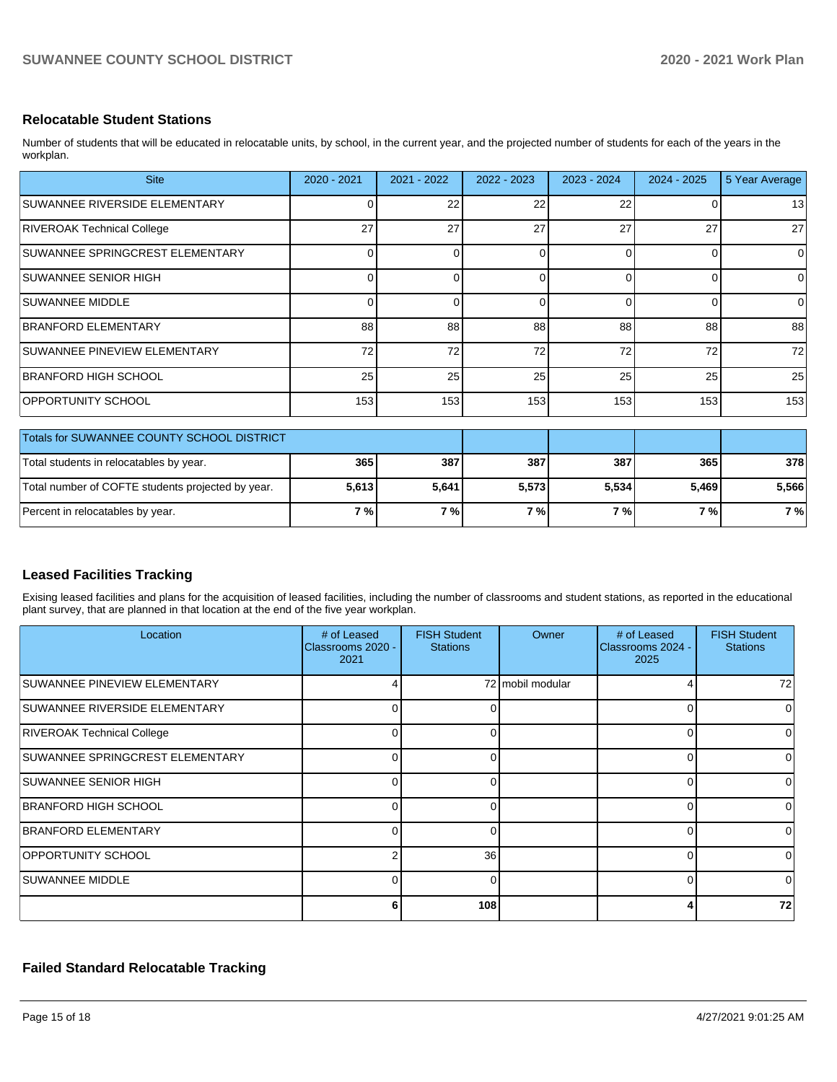#### **Relocatable Student Stations**

Number of students that will be educated in relocatable units, by school, in the current year, and the projected number of students for each of the years in the workplan.

| <b>Site</b>                                       | 2020 - 2021 | 2021 - 2022 | 2022 - 2023 | 2023 - 2024 | $2024 - 2025$ | 5 Year Average |
|---------------------------------------------------|-------------|-------------|-------------|-------------|---------------|----------------|
| SUWANNEE RIVERSIDE ELEMENTARY                     | 0           | 22          | 22          | 22          |               | 13             |
| RIVEROAK Technical College                        | 27          | 27          | 27          | 27          | 27            | 27             |
| SUWANNEE SPRINGCREST ELEMENTARY                   | $\Omega$    |             | 0           | $\Omega$    | $\Omega$      | $\Omega$       |
| <b>SUWANNEE SENIOR HIGH</b>                       | $\Omega$    |             | $\Omega$    | $\Omega$    | 0             | $\Omega$       |
| <b>SUWANNEE MIDDLE</b>                            | 0           |             | 0           | $\Omega$    | 0             | $\overline{0}$ |
| BRANFORD ELEMENTARY                               | 88          | 88          | 88          | 88          | 88            | 88             |
| SUWANNEE PINEVIEW ELEMENTARY                      | 72          | 72          | 72          | 72          | 72            | 72             |
| BRANFORD HIGH SCHOOL                              | 25          | 25          | 25          | 25          | 25            | 25             |
| OPPORTUNITY SCHOOL                                | 153         | 153         | 153         | 153         | 153           | 153            |
| Totals for SUWANNEE COUNTY SCHOOL DISTRICT        |             |             |             |             |               |                |
| Total students in relocatables by year.           | 365         | 387         | 387         | 387         | 365           | 378            |
| Total number of COFTE students projected by year. | 5,613       | 5,641       | 5,573       | 5,534       | 5,469         | 5,566          |

#### **Leased Facilities Tracking**

Exising leased facilities and plans for the acquisition of leased facilities, including the number of classrooms and student stations, as reported in the educational plant survey, that are planned in that location at the end of the five year workplan.

Percent in relocatables by year. **7 % 7 % 7 % 7 % 7 % 7 %**

| Location                        | # of Leased<br>Classrooms 2020 -<br>2021 | <b>FISH Student</b><br><b>Stations</b> | Owner            | # of Leased<br>Classrooms 2024 -<br>2025 | <b>FISH Student</b><br><b>Stations</b> |
|---------------------------------|------------------------------------------|----------------------------------------|------------------|------------------------------------------|----------------------------------------|
| SUWANNEE PINEVIEW ELEMENTARY    |                                          |                                        | 72 mobil modular | 4                                        | 72                                     |
| SUWANNEE RIVERSIDE ELEMENTARY   |                                          | 0                                      |                  | 0                                        |                                        |
| RIVEROAK Technical College      | 0                                        | 0                                      |                  | 0                                        | 0                                      |
| SUWANNEE SPRINGCREST ELEMENTARY |                                          | 0                                      |                  | 0                                        |                                        |
| <b>SUWANNEE SENIOR HIGH</b>     | 0                                        | $\Omega$                               |                  | $\Omega$                                 | <sup>0</sup>                           |
| BRANFORD HIGH SCHOOL            | 0                                        | 0                                      |                  | 0                                        | ∩                                      |
| BRANFORD ELEMENTARY             | ∩                                        | $\Omega$                               |                  | $\Omega$                                 | $\Omega$                               |
| OPPORTUNITY SCHOOL              |                                          | 36                                     |                  | 0                                        | U                                      |
| <b>SUWANNEE MIDDLE</b>          |                                          | $\Omega$                               |                  | 0                                        | ∩                                      |
|                                 |                                          | 108                                    |                  | Δ                                        | 72                                     |

#### **Failed Standard Relocatable Tracking**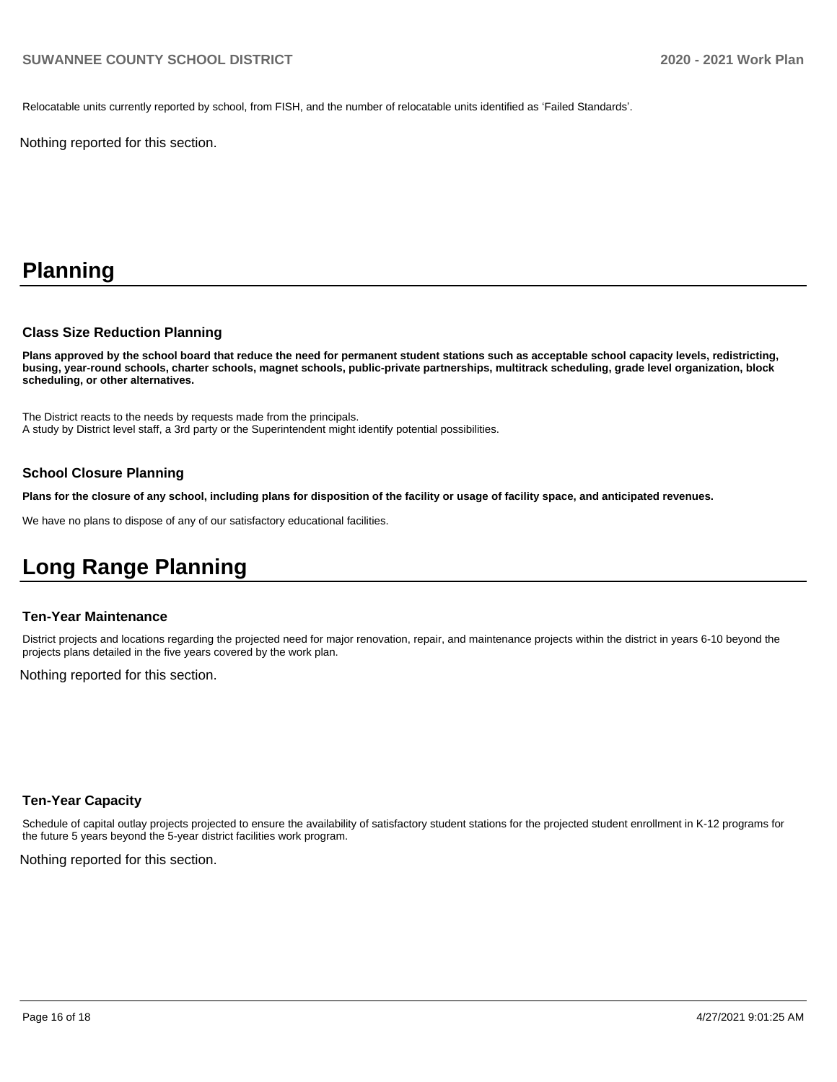Relocatable units currently reported by school, from FISH, and the number of relocatable units identified as 'Failed Standards'.

Nothing reported for this section.

# **Planning**

#### **Class Size Reduction Planning**

**Plans approved by the school board that reduce the need for permanent student stations such as acceptable school capacity levels, redistricting, busing, year-round schools, charter schools, magnet schools, public-private partnerships, multitrack scheduling, grade level organization, block scheduling, or other alternatives.**

The District reacts to the needs by requests made from the principals. A study by District level staff, a 3rd party or the Superintendent might identify potential possibilities.

#### **School Closure Planning**

**Plans for the closure of any school, including plans for disposition of the facility or usage of facility space, and anticipated revenues.** 

We have no plans to dispose of any of our satisfactory educational facilities.

# **Long Range Planning**

#### **Ten-Year Maintenance**

District projects and locations regarding the projected need for major renovation, repair, and maintenance projects within the district in years 6-10 beyond the projects plans detailed in the five years covered by the work plan.

Nothing reported for this section.

#### **Ten-Year Capacity**

Schedule of capital outlay projects projected to ensure the availability of satisfactory student stations for the projected student enrollment in K-12 programs for the future 5 years beyond the 5-year district facilities work program.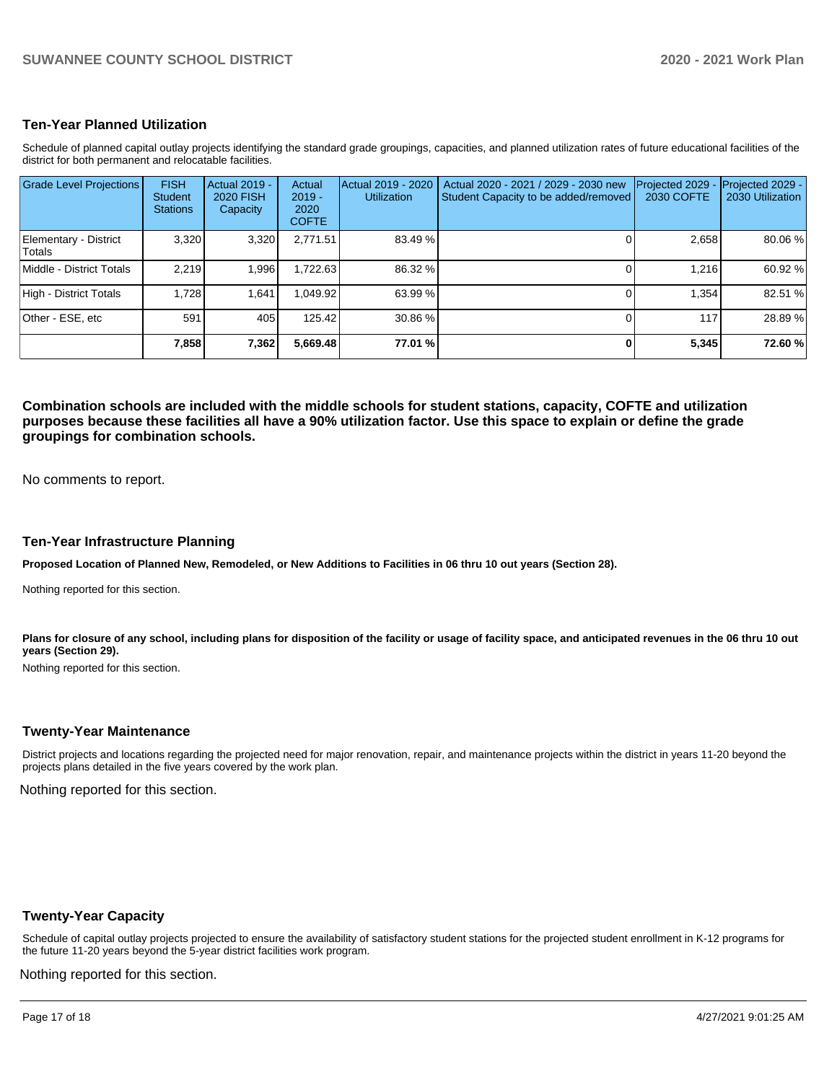#### **Ten-Year Planned Utilization**

Schedule of planned capital outlay projects identifying the standard grade groupings, capacities, and planned utilization rates of future educational facilities of the district for both permanent and relocatable facilities.

| <b>Grade Level Projections</b>   | <b>FISH</b><br><b>Student</b><br><b>Stations</b> | <b>Actual 2019 -</b><br><b>2020 FISH</b><br>Capacity | Actual<br>$2019 -$<br>2020<br><b>COFTE</b> | Actual 2019 - 2020<br><b>Utilization</b> | Actual 2020 - 2021 / 2029 - 2030 new<br>Student Capacity to be added/removed | Projected 2029<br><b>2030 COFTE</b> | Projected 2029 -<br>2030 Utilization |
|----------------------------------|--------------------------------------------------|------------------------------------------------------|--------------------------------------------|------------------------------------------|------------------------------------------------------------------------------|-------------------------------------|--------------------------------------|
| Elementary - District<br>lTotals | 3.320                                            | 3,320                                                | 2,771.51                                   | 83.49 %                                  |                                                                              | 2,658                               | 80.06%                               |
| Middle - District Totals         | 2.219                                            | 1,996                                                | 1,722.63                                   | 86.32 %                                  |                                                                              | 1.216                               | 60.92 %                              |
| High - District Totals           | 1.728                                            | 1.641                                                | 1.049.92                                   | 63.99 %                                  |                                                                              | 1.354                               | 82.51 %                              |
| Other - ESE, etc                 | 591                                              | 405                                                  | 125.42                                     | 30.86 %                                  |                                                                              | 117                                 | 28.89 %                              |
|                                  | 7,858                                            | 7,362                                                | 5,669.48                                   | 77.01 %                                  |                                                                              | 5,345                               | 72.60%                               |

**Combination schools are included with the middle schools for student stations, capacity, COFTE and utilization purposes because these facilities all have a 90% utilization factor. Use this space to explain or define the grade groupings for combination schools.** 

No comments to report.

#### **Ten-Year Infrastructure Planning**

**Proposed Location of Planned New, Remodeled, or New Additions to Facilities in 06 thru 10 out years (Section 28).**

Nothing reported for this section.

Plans for closure of any school, including plans for disposition of the facility or usage of facility space, and anticipated revenues in the 06 thru 10 out **years (Section 29).**

Nothing reported for this section.

#### **Twenty-Year Maintenance**

District projects and locations regarding the projected need for major renovation, repair, and maintenance projects within the district in years 11-20 beyond the projects plans detailed in the five years covered by the work plan.

Nothing reported for this section.

#### **Twenty-Year Capacity**

Schedule of capital outlay projects projected to ensure the availability of satisfactory student stations for the projected student enrollment in K-12 programs for the future 11-20 years beyond the 5-year district facilities work program.